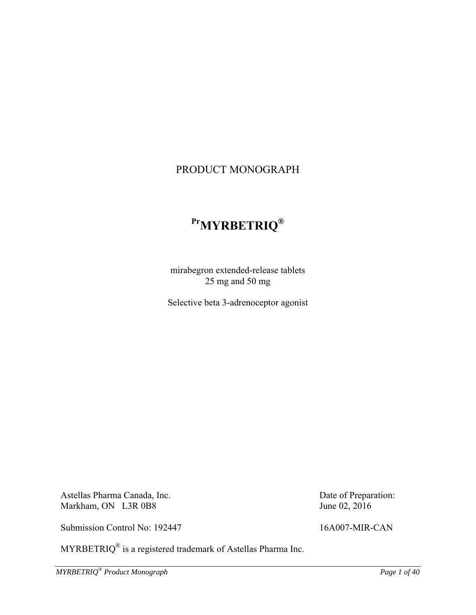## PRODUCT MONOGRAPH

# **PrMYRBETRIQ®**

mirabegron extended-release tablets 25 mg and 50 mg

Selective beta 3-adrenoceptor agonist

Astellas Pharma Canada, Inc. Markham, ON L3R 0B8

June 02, 2016

Submission Control No: 192447 16A007-MIR-CAN

Date of Preparation:

MYRBETRIQ® is a registered trademark of Astellas Pharma Inc.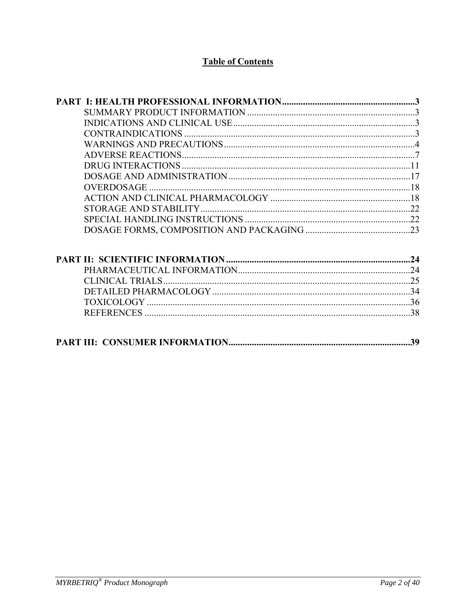## **Table of Contents**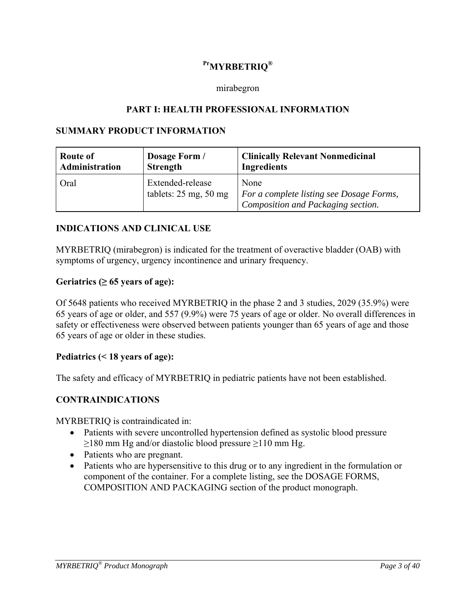## **PrMYRBETRIQ®**

### mirabegron

### **PART I: HEALTH PROFESSIONAL INFORMATION**

### **SUMMARY PRODUCT INFORMATION**

| Route of       | Dosage Form /                                                  | <b>Clinically Relevant Nonmedicinal</b>                                                         |
|----------------|----------------------------------------------------------------|-------------------------------------------------------------------------------------------------|
| Administration | <b>Strength</b>                                                | <b>Ingredients</b>                                                                              |
| Oral           | Extended-release<br>tablets: $25 \text{ mg}$ , $50 \text{ mg}$ | None<br><i>For a complete listing see Dosage Forms,</i><br>' Composition and Packaging section. |

### **INDICATIONS AND CLINICAL USE**

MYRBETRIQ (mirabegron) is indicated for the treatment of overactive bladder (OAB) with symptoms of urgency, urgency incontinence and urinary frequency.

### Geriatrics  $(≥ 65 \text{ years of age})$ :

Of 5648 patients who received MYRBETRIQ in the phase 2 and 3 studies, 2029 (35.9%) were 65 years of age or older, and 557 (9.9%) were 75 years of age or older. No overall differences in safety or effectiveness were observed between patients younger than 65 years of age and those 65 years of age or older in these studies.

### **Pediatrics (< 18 years of age):**

The safety and efficacy of MYRBETRIQ in pediatric patients have not been established.

## **CONTRAINDICATIONS**

MYRBETRIQ is contraindicated in:

- Patients with severe uncontrolled hypertension defined as systolic blood pressure  $\geq$ 180 mm Hg and/or diastolic blood pressure  $\geq$ 110 mm Hg.
- Patients who are pregnant.
- Patients who are hypersensitive to this drug or to any ingredient in the formulation or component of the container. For a complete listing, see the DOSAGE FORMS, COMPOSITION AND PACKAGING section of the product monograph.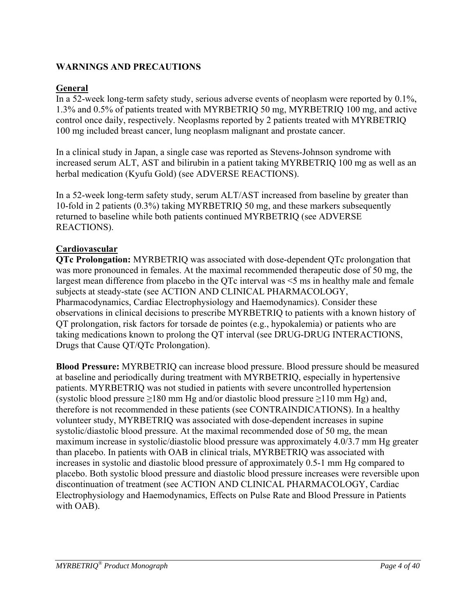## **WARNINGS AND PRECAUTIONS**

## **General**

In a 52-week long-term safety study, serious adverse events of neoplasm were reported by 0.1%, 1.3% and 0.5% of patients treated with MYRBETRIQ 50 mg, MYRBETRIQ 100 mg, and active control once daily, respectively. Neoplasms reported by 2 patients treated with MYRBETRIQ 100 mg included breast cancer, lung neoplasm malignant and prostate cancer.

In a clinical study in Japan, a single case was reported as Stevens-Johnson syndrome with increased serum ALT, AST and bilirubin in a patient taking MYRBETRIQ 100 mg as well as an herbal medication (Kyufu Gold) (see ADVERSE REACTIONS).

In a 52-week long-term safety study, serum ALT/AST increased from baseline by greater than 10-fold in 2 patients (0.3%) taking MYRBETRIQ 50 mg, and these markers subsequently returned to baseline while both patients continued MYRBETRIQ (see ADVERSE REACTIONS).

## **Cardiovascular**

**QTc Prolongation:** MYRBETRIQ was associated with dose-dependent QTc prolongation that was more pronounced in females. At the maximal recommended therapeutic dose of 50 mg, the largest mean difference from placebo in the QTc interval was <5 ms in healthy male and female subjects at steady-state (see ACTION AND CLINICAL PHARMACOLOGY, Pharmacodynamics, Cardiac Electrophysiology and Haemodynamics). Consider these observations in clinical decisions to prescribe MYRBETRIQ to patients with a known history of QT prolongation, risk factors for torsade de pointes (e.g., hypokalemia) or patients who are taking medications known to prolong the QT interval (see DRUG-DRUG INTERACTIONS, Drugs that Cause QT/QTc Prolongation).

**Blood Pressure:** MYRBETRIQ can increase blood pressure. Blood pressure should be measured at baseline and periodically during treatment with MYRBETRIQ, especially in hypertensive patients. MYRBETRIQ was not studied in patients with severe uncontrolled hypertension (systolic blood pressure  $\geq$ 180 mm Hg and/or diastolic blood pressure  $\geq$ 110 mm Hg) and, therefore is not recommended in these patients (see CONTRAINDICATIONS). In a healthy volunteer study, MYRBETRIQ was associated with dose-dependent increases in supine systolic/diastolic blood pressure. At the maximal recommended dose of 50 mg, the mean maximum increase in systolic/diastolic blood pressure was approximately 4.0/3.7 mm Hg greater than placebo. In patients with OAB in clinical trials, MYRBETRIQ was associated with increases in systolic and diastolic blood pressure of approximately 0.5-1 mm Hg compared to placebo. Both systolic blood pressure and diastolic blood pressure increases were reversible upon discontinuation of treatment (see ACTION AND CLINICAL PHARMACOLOGY, Cardiac Electrophysiology and Haemodynamics, Effects on Pulse Rate and Blood Pressure in Patients with OAB).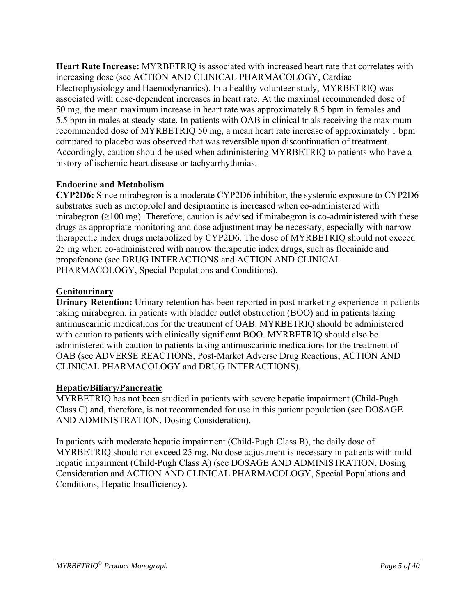**Heart Rate Increase:** MYRBETRIQ is associated with increased heart rate that correlates with increasing dose (see ACTION AND CLINICAL PHARMACOLOGY, Cardiac Electrophysiology and Haemodynamics). In a healthy volunteer study, MYRBETRIQ was associated with dose-dependent increases in heart rate. At the maximal recommended dose of 50 mg, the mean maximum increase in heart rate was approximately 8.5 bpm in females and 5.5 bpm in males at steady-state. In patients with OAB in clinical trials receiving the maximum recommended dose of MYRBETRIQ 50 mg, a mean heart rate increase of approximately 1 bpm compared to placebo was observed that was reversible upon discontinuation of treatment. Accordingly, caution should be used when administering MYRBETRIQ to patients who have a history of ischemic heart disease or tachyarrhythmias.

## **Endocrine and Metabolism**

**CYP2D6:** Since mirabegron is a moderate CYP2D6 inhibitor, the systemic exposure to CYP2D6 substrates such as metoprolol and desipramine is increased when co-administered with mirabegron  $(\geq 100 \text{ mg})$ . Therefore, caution is advised if mirabegron is co-administered with these drugs as appropriate monitoring and dose adjustment may be necessary, especially with narrow therapeutic index drugs metabolized by CYP2D6. The dose of MYRBETRIQ should not exceed 25 mg when co-administered with narrow therapeutic index drugs, such as flecainide and propafenone (see DRUG INTERACTIONS and ACTION AND CLINICAL PHARMACOLOGY, Special Populations and Conditions).

## **Genitourinary**

**Urinary Retention:** Urinary retention has been reported in post-marketing experience in patients taking mirabegron, in patients with bladder outlet obstruction (BOO) and in patients taking antimuscarinic medications for the treatment of OAB. MYRBETRIQ should be administered with caution to patients with clinically significant BOO. MYRBETRIQ should also be administered with caution to patients taking antimuscarinic medications for the treatment of OAB (see ADVERSE REACTIONS, Post-Market Adverse Drug Reactions; ACTION AND CLINICAL PHARMACOLOGY and DRUG INTERACTIONS).

## **Hepatic/Biliary/Pancreatic**

MYRBETRIQ has not been studied in patients with severe hepatic impairment (Child-Pugh Class C) and, therefore, is not recommended for use in this patient population (see DOSAGE AND ADMINISTRATION, Dosing Consideration).

In patients with moderate hepatic impairment (Child-Pugh Class B), the daily dose of MYRBETRIQ should not exceed 25 mg. No dose adjustment is necessary in patients with mild hepatic impairment (Child-Pugh Class A) (see DOSAGE AND ADMINISTRATION, Dosing Consideration and ACTION AND CLINICAL PHARMACOLOGY, Special Populations and Conditions, Hepatic Insufficiency).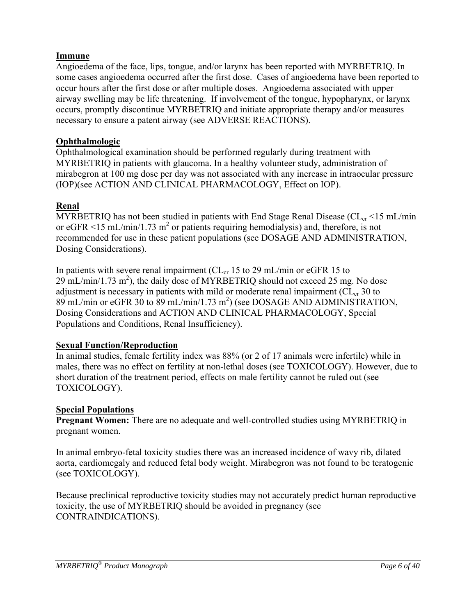## **Immune**

Angioedema of the face, lips, tongue, and/or larynx has been reported with MYRBETRIQ. In some cases angioedema occurred after the first dose. Cases of angioedema have been reported to occur hours after the first dose or after multiple doses. Angioedema associated with upper airway swelling may be life threatening. If involvement of the tongue, hypopharynx, or larynx occurs, promptly discontinue MYRBETRIQ and initiate appropriate therapy and/or measures necessary to ensure a patent airway (see ADVERSE REACTIONS).

## **Ophthalmologic**

Ophthalmological examination should be performed regularly during treatment with MYRBETRIQ in patients with glaucoma. In a healthy volunteer study, administration of mirabegron at 100 mg dose per day was not associated with any increase in intraocular pressure (IOP)(see ACTION AND CLINICAL PHARMACOLOGY, Effect on IOP).

## **Renal**

MYRBETRIQ has not been studied in patients with End Stage Renal Disease ( $CL_{cr}$  <15 mL/min or eGFR <15 mL/min/1.73 m<sup>2</sup> or patients requiring hemodialysis) and, therefore, is not recommended for use in these patient populations (see DOSAGE AND ADMINISTRATION, Dosing Considerations).

In patients with severe renal impairment ( $CL_{cr}$  15 to 29 mL/min or eGFR 15 to  $29 \text{ mL/min}/1.73 \text{ m}^2$ ), the daily dose of MYRBETRIQ should not exceed 25 mg. No dose adjustment is necessary in patients with mild or moderate renal impairment ( $CL_{cr}$  30 to  $89 \text{ mL/min}$  or eGFR 30 to  $89 \text{ mL/min}/1.73 \text{ m}^2$ ) (see DOSAGE AND ADMINISTRATION, Dosing Considerations and ACTION AND CLINICAL PHARMACOLOGY, Special Populations and Conditions, Renal Insufficiency).

## **Sexual Function/Reproduction**

In animal studies, female fertility index was 88% (or 2 of 17 animals were infertile) while in males, there was no effect on fertility at non-lethal doses (see TOXICOLOGY). However, due to short duration of the treatment period, effects on male fertility cannot be ruled out (see TOXICOLOGY).

## **Special Populations**

**Pregnant Women:** There are no adequate and well-controlled studies using MYRBETRIQ in pregnant women.

In animal embryo-fetal toxicity studies there was an increased incidence of wavy rib, dilated aorta, cardiomegaly and reduced fetal body weight. Mirabegron was not found to be teratogenic (see TOXICOLOGY).

Because preclinical reproductive toxicity studies may not accurately predict human reproductive toxicity, the use of MYRBETRIQ should be avoided in pregnancy (see CONTRAINDICATIONS).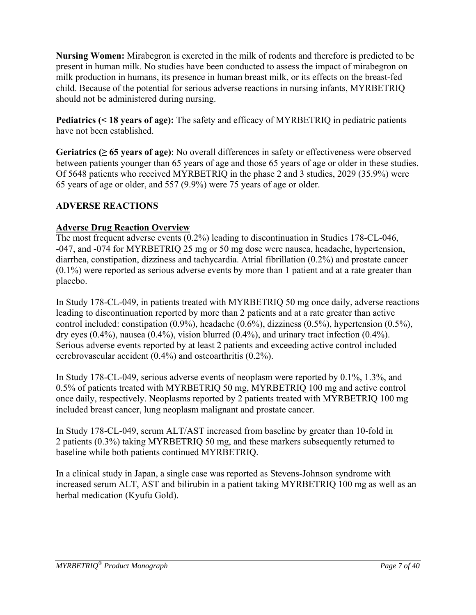**Nursing Women:** Mirabegron is excreted in the milk of rodents and therefore is predicted to be present in human milk. No studies have been conducted to assess the impact of mirabegron on milk production in humans, its presence in human breast milk, or its effects on the breast-fed child. Because of the potential for serious adverse reactions in nursing infants, MYRBETRIQ should not be administered during nursing.

**Pediatrics (< 18 years of age):** The safety and efficacy of MYRBETRIQ in pediatric patients have not been established.

**Geriatrics (≥ 65 years of age)**: No overall differences in safety or effectiveness were observed between patients younger than 65 years of age and those 65 years of age or older in these studies. Of 5648 patients who received MYRBETRIQ in the phase 2 and 3 studies, 2029 (35.9%) were 65 years of age or older, and 557 (9.9%) were 75 years of age or older.

## **ADVERSE REACTIONS**

## **Adverse Drug Reaction Overview**

The most frequent adverse events (0.2%) leading to discontinuation in Studies 178-CL-046, -047, and -074 for MYRBETRIQ 25 mg or 50 mg dose were nausea, headache, hypertension, diarrhea, constipation, dizziness and tachycardia. Atrial fibrillation (0.2%) and prostate cancer (0.1%) were reported as serious adverse events by more than 1 patient and at a rate greater than placebo.

In Study 178-CL-049, in patients treated with MYRBETRIQ 50 mg once daily, adverse reactions leading to discontinuation reported by more than 2 patients and at a rate greater than active control included: constipation (0.9%), headache (0.6%), dizziness (0.5%), hypertension (0.5%), dry eyes  $(0.4\%)$ , nausea  $(0.4\%)$ , vision blurred  $(0.4\%)$ , and urinary tract infection  $(0.4\%)$ . Serious adverse events reported by at least 2 patients and exceeding active control included cerebrovascular accident (0.4%) and osteoarthritis (0.2%).

In Study 178-CL-049, serious adverse events of neoplasm were reported by 0.1%, 1.3%, and 0.5% of patients treated with MYRBETRIQ 50 mg, MYRBETRIQ 100 mg and active control once daily, respectively. Neoplasms reported by 2 patients treated with MYRBETRIQ 100 mg included breast cancer, lung neoplasm malignant and prostate cancer.

In Study 178-CL-049, serum ALT/AST increased from baseline by greater than 10-fold in 2 patients (0.3%) taking MYRBETRIQ 50 mg, and these markers subsequently returned to baseline while both patients continued MYRBETRIQ.

In a clinical study in Japan, a single case was reported as Stevens-Johnson syndrome with increased serum ALT, AST and bilirubin in a patient taking MYRBETRIQ 100 mg as well as an herbal medication (Kyufu Gold).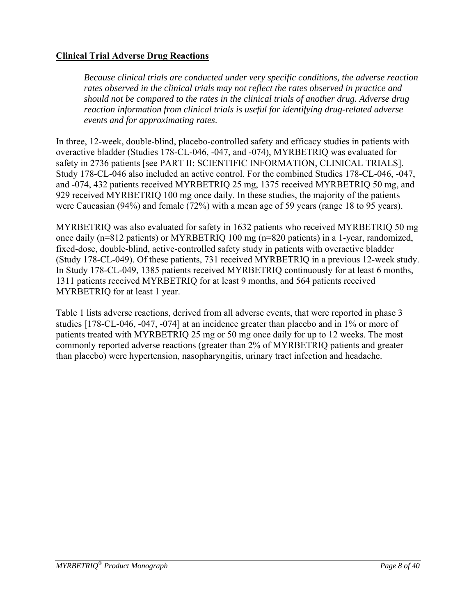## **Clinical Trial Adverse Drug Reactions**

*Because clinical trials are conducted under very specific conditions, the adverse reaction rates observed in the clinical trials may not reflect the rates observed in practice and should not be compared to the rates in the clinical trials of another drug. Adverse drug reaction information from clinical trials is useful for identifying drug-related adverse events and for approximating rates*.

In three, 12-week, double-blind, placebo-controlled safety and efficacy studies in patients with overactive bladder (Studies 178-CL-046, -047, and -074), MYRBETRIQ was evaluated for safety in 2736 patients [see PART II: SCIENTIFIC INFORMATION, CLINICAL TRIALS]. Study 178-CL-046 also included an active control. For the combined Studies 178-CL-046, -047, and -074, 432 patients received MYRBETRIQ 25 mg, 1375 received MYRBETRIQ 50 mg, and 929 received MYRBETRIQ 100 mg once daily. In these studies, the majority of the patients were Caucasian (94%) and female (72%) with a mean age of 59 years (range 18 to 95 years).

MYRBETRIQ was also evaluated for safety in 1632 patients who received MYRBETRIQ 50 mg once daily (n=812 patients) or MYRBETRIQ 100 mg (n=820 patients) in a 1-year, randomized, fixed-dose, double-blind, active-controlled safety study in patients with overactive bladder (Study 178-CL-049). Of these patients, 731 received MYRBETRIQ in a previous 12-week study. In Study 178-CL-049, 1385 patients received MYRBETRIQ continuously for at least 6 months, 1311 patients received MYRBETRIQ for at least 9 months, and 564 patients received MYRBETRIQ for at least 1 year.

Table 1 lists adverse reactions, derived from all adverse events, that were reported in phase 3 studies [178-CL-046, -047, -074] at an incidence greater than placebo and in 1% or more of patients treated with MYRBETRIQ 25 mg or 50 mg once daily for up to 12 weeks. The most commonly reported adverse reactions (greater than 2% of MYRBETRIQ patients and greater than placebo) were hypertension, nasopharyngitis, urinary tract infection and headache.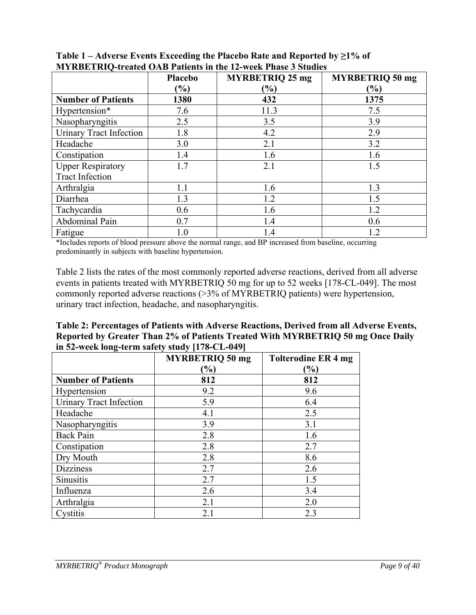|                                | Placebo                      | <b>MYRBETRIQ 25 mg</b> | <b>MYRBETRIQ 50 mg</b> |
|--------------------------------|------------------------------|------------------------|------------------------|
|                                | $\left( \frac{0}{0} \right)$ | $(\%)$                 | $\frac{6}{6}$          |
| <b>Number of Patients</b>      | 1380                         | 432                    | 1375                   |
| Hypertension*                  | 7.6                          | 11.3                   | 7.5                    |
| Nasopharyngitis                | 2.5                          | 3.5                    | 3.9                    |
| <b>Urinary Tract Infection</b> | 1.8                          | 4.2                    | 2.9                    |
| Headache                       | 3.0                          | 2.1                    | 3.2                    |
| Constipation                   | 1.4                          | 1.6                    | 1.6                    |
| <b>Upper Respiratory</b>       | 1.7                          | 2.1                    | 1.5                    |
| <b>Tract Infection</b>         |                              |                        |                        |
| Arthralgia                     | 1.1                          | 1.6                    | 1.3                    |
| Diarrhea                       | 1.3                          | 1.2                    | 1.5                    |
| Tachycardia                    | 0.6                          | 1.6                    | 1.2                    |
| Abdominal Pain                 | 0.7                          | 1.4                    | 0.6                    |
| Fatigue                        | 1.0                          | 1.4                    | 1.2                    |

**Table 1 – Adverse Events Exceeding the Placebo Rate and Reported by ≥1% of MYRBETRIQ-treated OAB Patients in the 12-week Phase 3 Studies** 

\*Includes reports of blood pressure above the normal range, and BP increased from baseline, occurring predominantly in subjects with baseline hypertension.

Table 2 lists the rates of the most commonly reported adverse reactions, derived from all adverse events in patients treated with MYRBETRIQ 50 mg for up to 52 weeks [178-CL-049]. The most commonly reported adverse reactions (>3% of MYRBETRIQ patients) were hypertension, urinary tract infection, headache, and nasopharyngitis.

| Table 2: Percentages of Patients with Adverse Reactions, Derived from all Adverse Events, |
|-------------------------------------------------------------------------------------------|
| Reported by Greater Than 2% of Patients Treated With MYRBETRIQ 50 mg Once Daily           |
| in 52-week long-term safety study [178-CL-049]                                            |

|                                | <b>MYRBETRIQ 50 mg</b> | <b>Tolterodine ER 4 mg</b> |
|--------------------------------|------------------------|----------------------------|
|                                | $(\%)$                 | $(\%)$                     |
| <b>Number of Patients</b>      | 812                    | 812                        |
| Hypertension                   | 9.2                    | 9.6                        |
| <b>Urinary Tract Infection</b> | 5.9                    | 6.4                        |
| Headache                       | 4.1                    | 2.5                        |
| Nasopharyngitis                | 3.9                    | 3.1                        |
| <b>Back Pain</b>               | 2.8                    | 1.6                        |
| Constipation                   | 2.8                    | 2.7                        |
| Dry Mouth                      | 2.8                    | 8.6                        |
| <b>Dizziness</b>               | 2.7                    | 2.6                        |
| Sinusitis                      | 2.7                    | 1.5                        |
| Influenza                      | 2.6                    | 3.4                        |
| Arthralgia                     | 2.1                    | 2.0                        |
| Cystitis                       | 2.1                    | 2.3                        |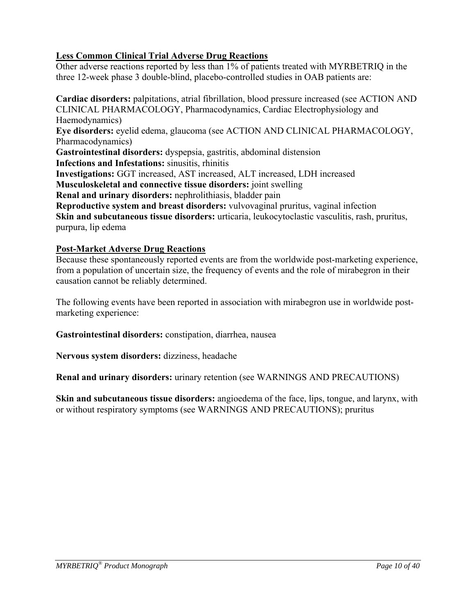## **Less Common Clinical Trial Adverse Drug Reactions**

Other adverse reactions reported by less than 1% of patients treated with MYRBETRIQ in the three 12-week phase 3 double-blind, placebo-controlled studies in OAB patients are:

**Cardiac disorders:** palpitations, atrial fibrillation, blood pressure increased (see ACTION AND CLINICAL PHARMACOLOGY, Pharmacodynamics, Cardiac Electrophysiology and Haemodynamics) **Eye disorders:** eyelid edema, glaucoma (see ACTION AND CLINICAL PHARMACOLOGY, Pharmacodynamics) **Gastrointestinal disorders:** dyspepsia, gastritis, abdominal distension **Infections and Infestations:** sinusitis, rhinitis **Investigations:** GGT increased, AST increased, ALT increased, LDH increased **Musculoskeletal and connective tissue disorders:** joint swelling **Renal and urinary disorders:** nephrolithiasis, bladder pain **Reproductive system and breast disorders:** vulvovaginal pruritus, vaginal infection **Skin and subcutaneous tissue disorders:** urticaria, leukocytoclastic vasculitis, rash, pruritus, purpura, lip edema

## **Post-Market Adverse Drug Reactions**

Because these spontaneously reported events are from the worldwide post-marketing experience, from a population of uncertain size, the frequency of events and the role of mirabegron in their causation cannot be reliably determined.

The following events have been reported in association with mirabegron use in worldwide postmarketing experience:

**Gastrointestinal disorders:** constipation, diarrhea, nausea

**Nervous system disorders:** dizziness, headache

**Renal and urinary disorders:** urinary retention (see WARNINGS AND PRECAUTIONS)

**Skin and subcutaneous tissue disorders:** angioedema of the face, lips, tongue, and larynx, with or without respiratory symptoms (see WARNINGS AND PRECAUTIONS); pruritus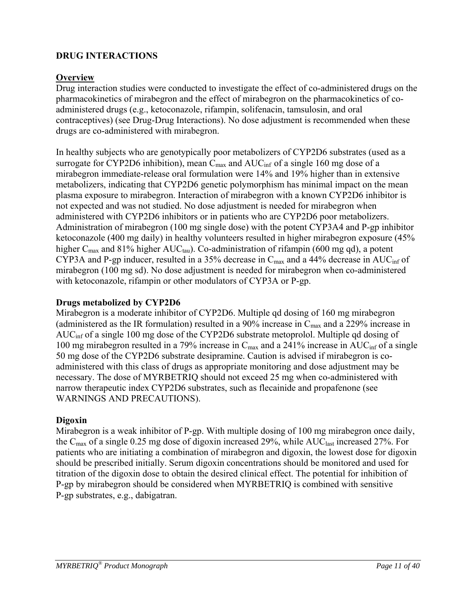## **DRUG INTERACTIONS**

## **Overview**

Drug interaction studies were conducted to investigate the effect of co-administered drugs on the pharmacokinetics of mirabegron and the effect of mirabegron on the pharmacokinetics of coadministered drugs (e.g., ketoconazole, rifampin, solifenacin, tamsulosin, and oral contraceptives) (see Drug-Drug Interactions). No dose adjustment is recommended when these drugs are co-administered with mirabegron.

In healthy subjects who are genotypically poor metabolizers of CYP2D6 substrates (used as a surrogate for CYP2D6 inhibition), mean  $C_{\text{max}}$  and  $AUC_{\text{inf}}$  of a single 160 mg dose of a mirabegron immediate-release oral formulation were 14% and 19% higher than in extensive metabolizers, indicating that CYP2D6 genetic polymorphism has minimal impact on the mean plasma exposure to mirabegron. Interaction of mirabegron with a known CYP2D6 inhibitor is not expected and was not studied. No dose adjustment is needed for mirabegron when administered with CYP2D6 inhibitors or in patients who are CYP2D6 poor metabolizers. Administration of mirabegron (100 mg single dose) with the potent CYP3A4 and P-gp inhibitor ketoconazole (400 mg daily) in healthy volunteers resulted in higher mirabegron exposure (45% higher  $C_{\text{max}}$  and 81% higher AUC<sub>tau</sub>). Co-administration of rifampin (600 mg qd), a potent CYP3A and P-gp inducer, resulted in a 35% decrease in  $C_{\text{max}}$  and a 44% decrease in AUC<sub>inf</sub> of mirabegron (100 mg sd). No dose adjustment is needed for mirabegron when co-administered with ketoconazole, rifampin or other modulators of CYP3A or P-gp.

## **Drugs metabolized by CYP2D6**

Mirabegron is a moderate inhibitor of CYP2D6. Multiple qd dosing of 160 mg mirabegron (administered as the IR formulation) resulted in a 90% increase in  $C_{\text{max}}$  and a 229% increase in AUCinf of a single 100 mg dose of the CYP2D6 substrate metoprolol. Multiple qd dosing of 100 mg mirabegron resulted in a 79% increase in  $C_{\text{max}}$  and a 241% increase in AUC<sub>inf</sub> of a single 50 mg dose of the CYP2D6 substrate desipramine. Caution is advised if mirabegron is coadministered with this class of drugs as appropriate monitoring and dose adjustment may be necessary. The dose of MYRBETRIQ should not exceed 25 mg when co-administered with narrow therapeutic index CYP2D6 substrates, such as flecainide and propafenone (see WARNINGS AND PRECAUTIONS).

## **Digoxin**

Mirabegron is a weak inhibitor of P-gp. With multiple dosing of 100 mg mirabegron once daily, the  $C_{\text{max}}$  of a single 0.25 mg dose of digoxin increased 29%, while AUC<sub>last</sub> increased 27%. For patients who are initiating a combination of mirabegron and digoxin, the lowest dose for digoxin should be prescribed initially. Serum digoxin concentrations should be monitored and used for titration of the digoxin dose to obtain the desired clinical effect. The potential for inhibition of P-gp by mirabegron should be considered when MYRBETRIQ is combined with sensitive P-gp substrates, e.g., dabigatran.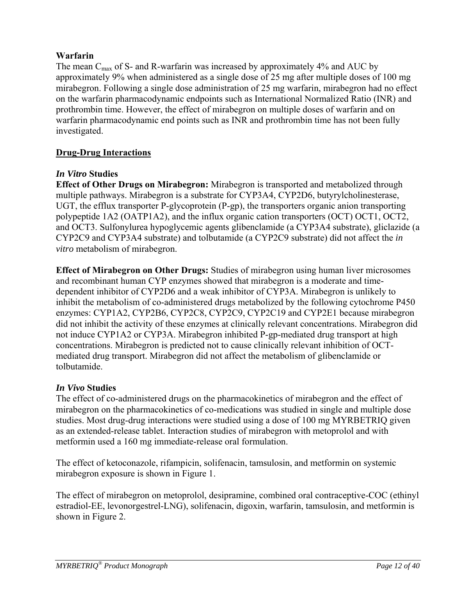## **Warfarin**

The mean  $C_{\text{max}}$  of S- and R-warfarin was increased by approximately 4% and AUC by approximately 9% when administered as a single dose of 25 mg after multiple doses of 100 mg mirabegron. Following a single dose administration of 25 mg warfarin, mirabegron had no effect on the warfarin pharmacodynamic endpoints such as International Normalized Ratio (INR) and prothrombin time. However, the effect of mirabegron on multiple doses of warfarin and on warfarin pharmacodynamic end points such as INR and prothrombin time has not been fully investigated.

## **Drug-Drug Interactions**

## *In Vitro* **Studies**

**Effect of Other Drugs on Mirabegron:** Mirabegron is transported and metabolized through multiple pathways. Mirabegron is a substrate for CYP3A4, CYP2D6, butyrylcholinesterase, UGT, the efflux transporter P-glycoprotein (P-gp), the transporters organic anion transporting polypeptide 1A2 (OATP1A2), and the influx organic cation transporters (OCT) OCT1, OCT2, and OCT3. Sulfonylurea hypoglycemic agents glibenclamide (a CYP3A4 substrate), gliclazide (a CYP2C9 and CYP3A4 substrate) and tolbutamide (a CYP2C9 substrate) did not affect the *in vitro* metabolism of mirabegron.

**Effect of Mirabegron on Other Drugs:** Studies of mirabegron using human liver microsomes and recombinant human CYP enzymes showed that mirabegron is a moderate and timedependent inhibitor of CYP2D6 and a weak inhibitor of CYP3A. Mirabegron is unlikely to inhibit the metabolism of co-administered drugs metabolized by the following cytochrome P450 enzymes: CYP1A2, CYP2B6, CYP2C8, CYP2C9, CYP2C19 and CYP2E1 because mirabegron did not inhibit the activity of these enzymes at clinically relevant concentrations. Mirabegron did not induce CYP1A2 or CYP3A. Mirabegron inhibited P-gp-mediated drug transport at high concentrations. Mirabegron is predicted not to cause clinically relevant inhibition of OCTmediated drug transport. Mirabegron did not affect the metabolism of glibenclamide or tolbutamide.

## *In Vivo* **Studies**

The effect of co-administered drugs on the pharmacokinetics of mirabegron and the effect of mirabegron on the pharmacokinetics of co-medications was studied in single and multiple dose studies. Most drug-drug interactions were studied using a dose of 100 mg MYRBETRIQ given as an extended-release tablet. Interaction studies of mirabegron with metoprolol and with metformin used a 160 mg immediate-release oral formulation.

The effect of ketoconazole, rifampicin, solifenacin, tamsulosin, and metformin on systemic mirabegron exposure is shown in Figure 1.

The effect of mirabegron on metoprolol, desipramine, combined oral contraceptive-COC (ethinyl estradiol-EE, levonorgestrel-LNG), solifenacin, digoxin, warfarin, tamsulosin, and metformin is shown in Figure 2.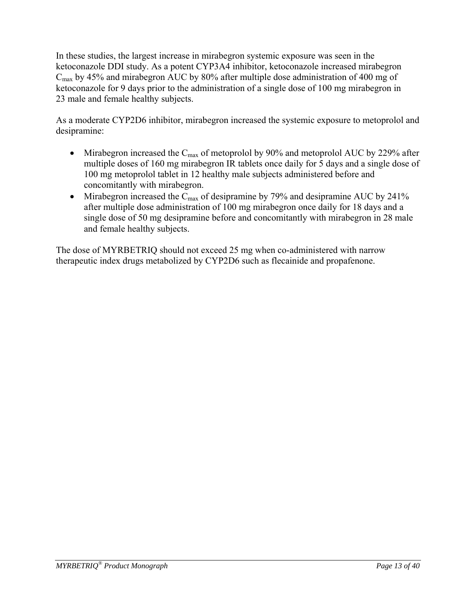In these studies, the largest increase in mirabegron systemic exposure was seen in the ketoconazole DDI study. As a potent CYP3A4 inhibitor, ketoconazole increased mirabegron  $C_{\text{max}}$  by 45% and mirabegron AUC by 80% after multiple dose administration of 400 mg of ketoconazole for 9 days prior to the administration of a single dose of 100 mg mirabegron in 23 male and female healthy subjects.

As a moderate CYP2D6 inhibitor, mirabegron increased the systemic exposure to metoprolol and desipramine:

- Mirabegron increased the  $C_{\text{max}}$  of metoprolol by 90% and metoprolol AUC by 229% after multiple doses of 160 mg mirabegron IR tablets once daily for 5 days and a single dose of 100 mg metoprolol tablet in 12 healthy male subjects administered before and concomitantly with mirabegron.
- Mirabegron increased the  $C_{\text{max}}$  of desipramine by 79% and desipramine AUC by 241% after multiple dose administration of 100 mg mirabegron once daily for 18 days and a single dose of 50 mg desipramine before and concomitantly with mirabegron in 28 male and female healthy subjects.

The dose of MYRBETRIQ should not exceed 25 mg when co-administered with narrow therapeutic index drugs metabolized by CYP2D6 such as flecainide and propafenone.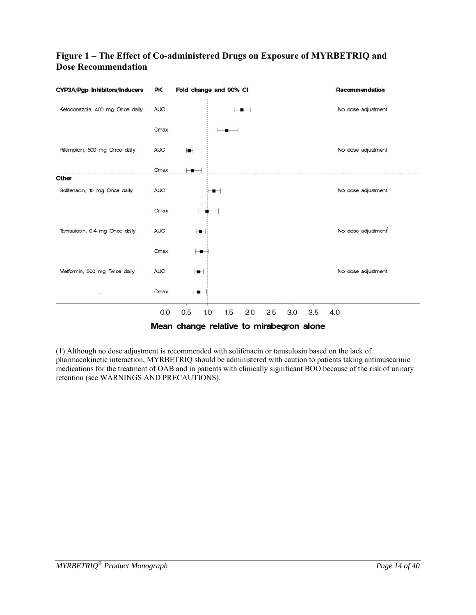## **Figure 1 – The Effect of Co-administered Drugs on Exposure of MYRBETRIQ and Dose Recommendation**



(1) Although no dose adjustment is recommended with solifenacin or tamsulosin based on the lack of pharmacokinetic interaction, MYRBETRIQ should be administered with caution to patients taking antimuscarinic medications for the treatment of OAB and in patients with clinically significant BOO because of the risk of urinary retention (see WARNINGS AND PRECAUTIONS).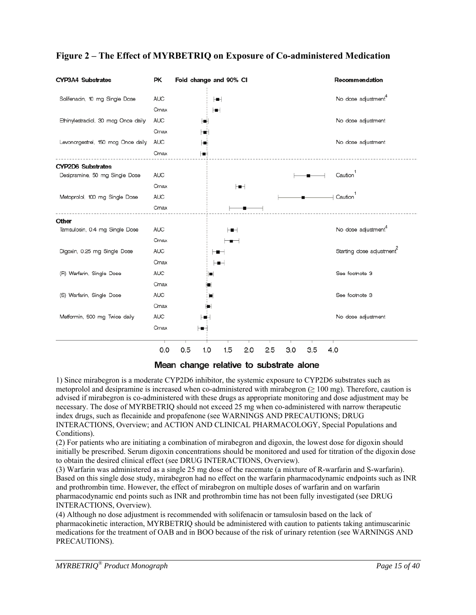

## **Figure 2 – The Effect of MYRBETRIQ on Exposure of Co-administered Medication**

Mean change relative to substrate alone

1) Since mirabegron is a moderate CYP2D6 inhibitor, the systemic exposure to CYP2D6 substrates such as metoprolol and desipramine is increased when co-administered with mirabegron  $(\geq 100 \text{ mg})$ . Therefore, caution is advised if mirabegron is co-administered with these drugs as appropriate monitoring and dose adjustment may be necessary. The dose of MYRBETRIQ should not exceed 25 mg when co-administered with narrow therapeutic index drugs, such as flecainide and propafenone (see WARNINGS AND PRECAUTIONS; DRUG INTERACTIONS, Overview; and ACTION AND CLINICAL PHARMACOLOGY, Special Populations and Conditions).

(2) For patients who are initiating a combination of mirabegron and digoxin, the lowest dose for digoxin should initially be prescribed. Serum digoxin concentrations should be monitored and used for titration of the digoxin dose to obtain the desired clinical effect (see DRUG INTERACTIONS, Overview).

(3) Warfarin was administered as a single 25 mg dose of the racemate (a mixture of R-warfarin and S-warfarin). Based on this single dose study, mirabegron had no effect on the warfarin pharmacodynamic endpoints such as INR and prothrombin time. However, the effect of mirabegron on multiple doses of warfarin and on warfarin pharmacodynamic end points such as INR and prothrombin time has not been fully investigated (see DRUG INTERACTIONS, Overview).

(4) Although no dose adjustment is recommended with solifenacin or tamsulosin based on the lack of pharmacokinetic interaction, MYRBETRIQ should be administered with caution to patients taking antimuscarinic medications for the treatment of OAB and in BOO because of the risk of urinary retention (see WARNINGS AND PRECAUTIONS).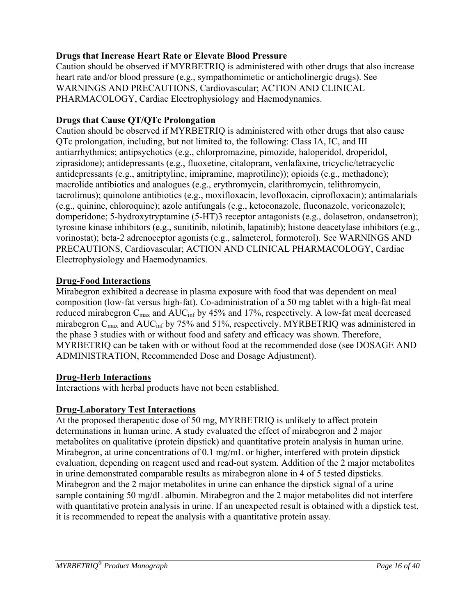## **Drugs that Increase Heart Rate or Elevate Blood Pressure**

Caution should be observed if MYRBETRIQ is administered with other drugs that also increase heart rate and/or blood pressure (e.g., sympathomimetic or anticholinergic drugs). See WARNINGS AND PRECAUTIONS, Cardiovascular; ACTION AND CLINICAL PHARMACOLOGY, Cardiac Electrophysiology and Haemodynamics.

## **Drugs that Cause QT/QTc Prolongation**

Caution should be observed if MYRBETRIQ is administered with other drugs that also cause QTc prolongation, including, but not limited to, the following: Class IA, IC, and III antiarrhythmics; antipsychotics (e.g., chlorpromazine, pimozide, haloperidol, droperidol, ziprasidone); antidepressants (e.g., fluoxetine, citalopram, venlafaxine, tricyclic/tetracyclic antidepressants (e.g., amitriptyline, imipramine, maprotiline)); opioids (e.g., methadone); macrolide antibiotics and analogues (e.g., erythromycin, clarithromycin, telithromycin, tacrolimus); quinolone antibiotics (e.g., moxifloxacin, levofloxacin, ciprofloxacin); antimalarials (e.g., quinine, chloroquine); azole antifungals (e.g., ketoconazole, fluconazole, voriconazole); domperidone; 5-hydroxytryptamine (5-HT)3 receptor antagonists (e.g., dolasetron, ondansetron); tyrosine kinase inhibitors (e.g., sunitinib, nilotinib, lapatinib); histone deacetylase inhibitors (e.g., vorinostat); beta-2 adrenoceptor agonists (e.g., salmeterol, formoterol). See WARNINGS AND PRECAUTIONS, Cardiovascular; ACTION AND CLINICAL PHARMACOLOGY, Cardiac Electrophysiology and Haemodynamics.

## **Drug-Food Interactions**

Mirabegron exhibited a decrease in plasma exposure with food that was dependent on meal composition (low-fat versus high-fat). Co-administration of a 50 mg tablet with a high-fat meal reduced mirabegron C<sub>max</sub> and AUC<sub>inf</sub> by 45% and 17%, respectively. A low-fat meal decreased mirabegron C<sub>max</sub> and AUC<sub>inf</sub> by 75% and 51%, respectively. MYRBETRIQ was administered in the phase 3 studies with or without food and safety and efficacy was shown. Therefore, MYRBETRIQ can be taken with or without food at the recommended dose (see DOSAGE AND ADMINISTRATION, Recommended Dose and Dosage Adjustment).

## **Drug-Herb Interactions**

Interactions with herbal products have not been established.

## **Drug-Laboratory Test Interactions**

At the proposed therapeutic dose of 50 mg, MYRBETRIQ is unlikely to affect protein determinations in human urine. A study evaluated the effect of mirabegron and 2 major metabolites on qualitative (protein dipstick) and quantitative protein analysis in human urine. Mirabegron, at urine concentrations of 0.1 mg/mL or higher, interfered with protein dipstick evaluation, depending on reagent used and read-out system. Addition of the 2 major metabolites in urine demonstrated comparable results as mirabegron alone in 4 of 5 tested dipsticks. Mirabegron and the 2 major metabolites in urine can enhance the dipstick signal of a urine sample containing 50 mg/dL albumin. Mirabegron and the 2 major metabolites did not interfere with quantitative protein analysis in urine. If an unexpected result is obtained with a dipstick test, it is recommended to repeat the analysis with a quantitative protein assay.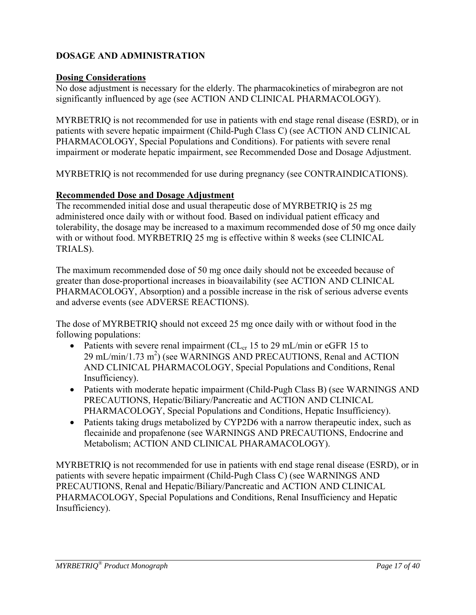## **DOSAGE AND ADMINISTRATION**

## **Dosing Considerations**

No dose adjustment is necessary for the elderly. The pharmacokinetics of mirabegron are not significantly influenced by age (see ACTION AND CLINICAL PHARMACOLOGY).

MYRBETRIQ is not recommended for use in patients with end stage renal disease (ESRD), or in patients with severe hepatic impairment (Child-Pugh Class C) (see ACTION AND CLINICAL PHARMACOLOGY, Special Populations and Conditions). For patients with severe renal impairment or moderate hepatic impairment, see Recommended Dose and Dosage Adjustment.

MYRBETRIQ is not recommended for use during pregnancy (see CONTRAINDICATIONS).

## **Recommended Dose and Dosage Adjustment**

The recommended initial dose and usual therapeutic dose of MYRBETRIQ is 25 mg administered once daily with or without food. Based on individual patient efficacy and tolerability, the dosage may be increased to a maximum recommended dose of 50 mg once daily with or without food. MYRBETRIQ 25 mg is effective within 8 weeks (see CLINICAL TRIALS).

The maximum recommended dose of 50 mg once daily should not be exceeded because of greater than dose-proportional increases in bioavailability (see ACTION AND CLINICAL PHARMACOLOGY, Absorption) and a possible increase in the risk of serious adverse events and adverse events (see ADVERSE REACTIONS).

The dose of MYRBETRIQ should not exceed 25 mg once daily with or without food in the following populations:

- Patients with severe renal impairment ( $CL_{cr}$  15 to 29 mL/min or eGFR 15 to  $29 \text{ mL/min}/1.73 \text{ m}^2$ ) (see WARNINGS AND PRECAUTIONS, Renal and ACTION AND CLINICAL PHARMACOLOGY, Special Populations and Conditions, Renal Insufficiency).
- Patients with moderate hepatic impairment (Child-Pugh Class B) (see WARNINGS AND PRECAUTIONS, Hepatic/Biliary/Pancreatic and ACTION AND CLINICAL PHARMACOLOGY, Special Populations and Conditions, Hepatic Insufficiency).
- Patients taking drugs metabolized by CYP2D6 with a narrow therapeutic index, such as flecainide and propafenone (see WARNINGS AND PRECAUTIONS, Endocrine and Metabolism; ACTION AND CLINICAL PHARAMACOLOGY).

MYRBETRIQ is not recommended for use in patients with end stage renal disease (ESRD), or in patients with severe hepatic impairment (Child-Pugh Class C) (see WARNINGS AND PRECAUTIONS, Renal and Hepatic/Biliary/Pancreatic and ACTION AND CLINICAL PHARMACOLOGY, Special Populations and Conditions, Renal Insufficiency and Hepatic Insufficiency).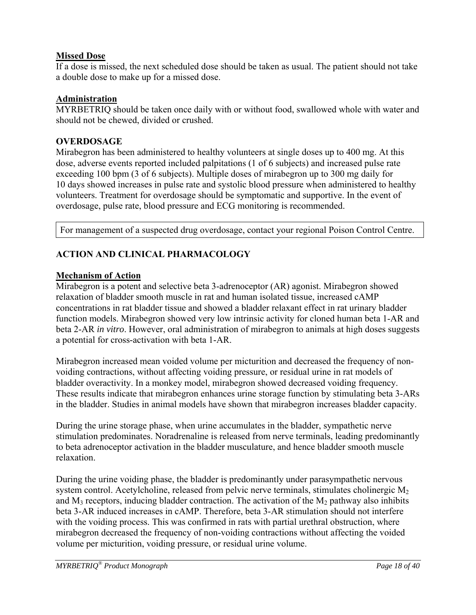## **Missed Dose**

If a dose is missed, the next scheduled dose should be taken as usual. The patient should not take a double dose to make up for a missed dose.

## **Administration**

MYRBETRIQ should be taken once daily with or without food, swallowed whole with water and should not be chewed, divided or crushed.

## **OVERDOSAGE**

Mirabegron has been administered to healthy volunteers at single doses up to 400 mg. At this dose, adverse events reported included palpitations (1 of 6 subjects) and increased pulse rate exceeding 100 bpm (3 of 6 subjects). Multiple doses of mirabegron up to 300 mg daily for 10 days showed increases in pulse rate and systolic blood pressure when administered to healthy volunteers. Treatment for overdosage should be symptomatic and supportive. In the event of overdosage, pulse rate, blood pressure and ECG monitoring is recommended.

For management of a suspected drug overdosage, contact your regional Poison Control Centre.

## **ACTION AND CLINICAL PHARMACOLOGY**

## **Mechanism of Action**

Mirabegron is a potent and selective beta 3-adrenoceptor (AR) agonist. Mirabegron showed relaxation of bladder smooth muscle in rat and human isolated tissue, increased cAMP concentrations in rat bladder tissue and showed a bladder relaxant effect in rat urinary bladder function models. Mirabegron showed very low intrinsic activity for cloned human beta 1-AR and beta 2-AR *in vitro*. However, oral administration of mirabegron to animals at high doses suggests a potential for cross-activation with beta 1-AR.

Mirabegron increased mean voided volume per micturition and decreased the frequency of nonvoiding contractions, without affecting voiding pressure, or residual urine in rat models of bladder overactivity. In a monkey model, mirabegron showed decreased voiding frequency. These results indicate that mirabegron enhances urine storage function by stimulating beta 3-ARs in the bladder. Studies in animal models have shown that mirabegron increases bladder capacity.

During the urine storage phase, when urine accumulates in the bladder, sympathetic nerve stimulation predominates. Noradrenaline is released from nerve terminals, leading predominantly to beta adrenoceptor activation in the bladder musculature, and hence bladder smooth muscle relaxation.

During the urine voiding phase, the bladder is predominantly under parasympathetic nervous system control. Acetylcholine, released from pelvic nerve terminals, stimulates cholinergic  $M_2$ and  $M_3$  receptors, inducing bladder contraction. The activation of the  $M_2$  pathway also inhibits beta 3-AR induced increases in cAMP. Therefore, beta 3-AR stimulation should not interfere with the voiding process. This was confirmed in rats with partial urethral obstruction, where mirabegron decreased the frequency of non-voiding contractions without affecting the voided volume per micturition, voiding pressure, or residual urine volume.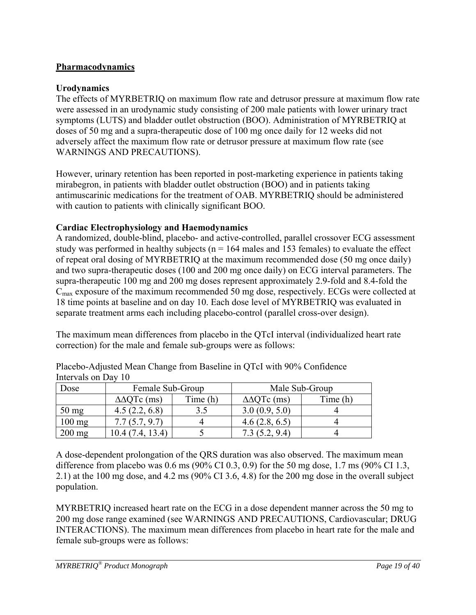## **Pharmacodynamics**

## **Urodynamics**

The effects of MYRBETRIQ on maximum flow rate and detrusor pressure at maximum flow rate were assessed in an urodynamic study consisting of 200 male patients with lower urinary tract symptoms (LUTS) and bladder outlet obstruction (BOO). Administration of MYRBETRIQ at doses of 50 mg and a supra-therapeutic dose of 100 mg once daily for 12 weeks did not adversely affect the maximum flow rate or detrusor pressure at maximum flow rate (see WARNINGS AND PRECAUTIONS).

However, urinary retention has been reported in post-marketing experience in patients taking mirabegron, in patients with bladder outlet obstruction (BOO) and in patients taking antimuscarinic medications for the treatment of OAB. MYRBETRIQ should be administered with caution to patients with clinically significant BOO.

## **Cardiac Electrophysiology and Haemodynamics**

A randomized, double-blind, placebo- and active-controlled, parallel crossover ECG assessment study was performed in healthy subjects ( $n = 164$  males and 153 females) to evaluate the effect of repeat oral dosing of MYRBETRIQ at the maximum recommended dose (50 mg once daily) and two supra-therapeutic doses (100 and 200 mg once daily) on ECG interval parameters. The supra-therapeutic 100 mg and 200 mg doses represent approximately 2.9-fold and 8.4-fold the  $C<sub>max</sub>$  exposure of the maximum recommended 50 mg dose, respectively. ECGs were collected at 18 time points at baseline and on day 10. Each dose level of MYRBETRIQ was evaluated in separate treatment arms each including placebo-control (parallel cross-over design).

The maximum mean differences from placebo in the QTcI interval (individualized heart rate correction) for the male and female sub-groups were as follows:

| Dose            | Female Sub-Group      |          | Male Sub-Group        |          |  |  |  |  |
|-----------------|-----------------------|----------|-----------------------|----------|--|--|--|--|
|                 | $\triangle$ AQTc (ms) | Time (h) | $\triangle$ AQTc (ms) | Time (h) |  |  |  |  |
| $50 \text{ mg}$ | 4.5(2.2, 6.8)         |          | 3.0(0.9, 5.0)         |          |  |  |  |  |
| $100$ mg        | 7.7(5.7, 9.7)         |          | 4.6(2.8, 6.5)         |          |  |  |  |  |
| $200$ mg        | 13.4)<br>10.4 (7.4.   |          | 7.3(5.2, 9.4)         |          |  |  |  |  |

Placebo-Adjusted Mean Change from Baseline in QTcI with 90% Confidence Intervals on Day 10

A dose-dependent prolongation of the QRS duration was also observed. The maximum mean difference from placebo was 0.6 ms (90% CI 0.3, 0.9) for the 50 mg dose, 1.7 ms (90% CI 1.3, 2.1) at the 100 mg dose, and 4.2 ms (90% CI 3.6, 4.8) for the 200 mg dose in the overall subject population.

MYRBETRIQ increased heart rate on the ECG in a dose dependent manner across the 50 mg to 200 mg dose range examined (see WARNINGS AND PRECAUTIONS, Cardiovascular; DRUG INTERACTIONS). The maximum mean differences from placebo in heart rate for the male and female sub-groups were as follows: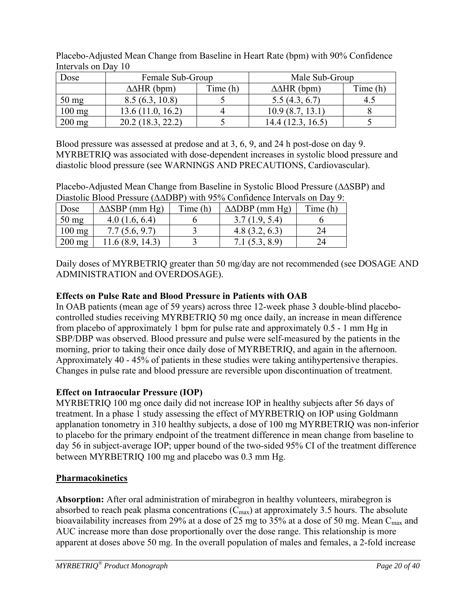| Dose            | Female Sub-Group      |          | Male Sub-Group        |          |  |
|-----------------|-----------------------|----------|-----------------------|----------|--|
|                 | $\triangle AHR$ (bpm) | Time (h) | $\triangle AHR$ (bpm) | Time (h) |  |
| $50 \text{ mg}$ | 8.5(6.3, 10.8)        |          | 5.5(4.3, 6.7)         |          |  |
| $100$ mg        | 13.6 (11.0, 16.2)     |          | 10.9(8.7, 13.1)       |          |  |
| $200$ mg        | 20.2 (18.3, 22.2)     |          | 14.4(12.3, 16.5)      |          |  |

Placebo-Adjusted Mean Change from Baseline in Heart Rate (bpm) with 90% Confidence Intervals on Day 10

Blood pressure was assessed at predose and at 3, 6, 9, and 24 h post-dose on day 9. MYRBETRIQ was associated with dose-dependent increases in systolic blood pressure and diastolic blood pressure (see WARNINGS AND PRECAUTIONS, Cardiovascular).

Placebo-Adjusted Mean Change from Baseline in Systolic Blood Pressure (∆∆SBP) and Diastolic Blood Pressure (∆∆DBP) with 95% Confidence Intervals on Day 9:

| Dose             | $\triangle$ ASBP (mm Hg) | Time (h) |               | Time (h) |
|------------------|--------------------------|----------|---------------|----------|
| $50 \text{ mg}$  | 4.0(1.6, 6.4)            |          | 3.7(1.9, 5.4) |          |
| $100 \text{ mg}$ | 7.7(5.6, 9.7)            |          | 4.8(3.2, 6.3) |          |
| $200 \text{ mg}$ | 11.6 (8.9, 14.3)         |          | 7.1(5.3, 8.9) |          |

Daily doses of MYRBETRIQ greater than 50 mg/day are not recommended (see DOSAGE AND ADMINISTRATION and OVERDOSAGE).

## **Effects on Pulse Rate and Blood Pressure in Patients with OAB**

In OAB patients (mean age of 59 years) across three 12-week phase 3 double-blind placebocontrolled studies receiving MYRBETRIQ 50 mg once daily, an increase in mean difference from placebo of approximately 1 bpm for pulse rate and approximately 0.5 - 1 mm Hg in SBP/DBP was observed. Blood pressure and pulse were self-measured by the patients in the morning, prior to taking their once daily dose of MYRBETRIQ, and again in the afternoon. Approximately 40 - 45% of patients in these studies were taking antihypertensive therapies. Changes in pulse rate and blood pressure are reversible upon discontinuation of treatment.

## **Effect on Intraocular Pressure (IOP)**

MYRBETRIQ 100 mg once daily did not increase IOP in healthy subjects after 56 days of treatment. In a phase 1 study assessing the effect of MYRBETRIQ on IOP using Goldmann applanation tonometry in 310 healthy subjects, a dose of 100 mg MYRBETRIQ was non-inferior to placebo for the primary endpoint of the treatment difference in mean change from baseline to day 56 in subject-average IOP; upper bound of the two-sided 95% CI of the treatment difference between MYRBETRIQ 100 mg and placebo was 0.3 mm Hg.

## **Pharmacokinetics**

**Absorption:** After oral administration of mirabegron in healthy volunteers, mirabegron is absorbed to reach peak plasma concentrations  $(C_{\text{max}})$  at approximately 3.5 hours. The absolute bioavailability increases from 29% at a dose of 25 mg to 35% at a dose of 50 mg. Mean C<sub>max</sub> and AUC increase more than dose proportionally over the dose range. This relationship is more apparent at doses above 50 mg. In the overall population of males and females, a 2-fold increase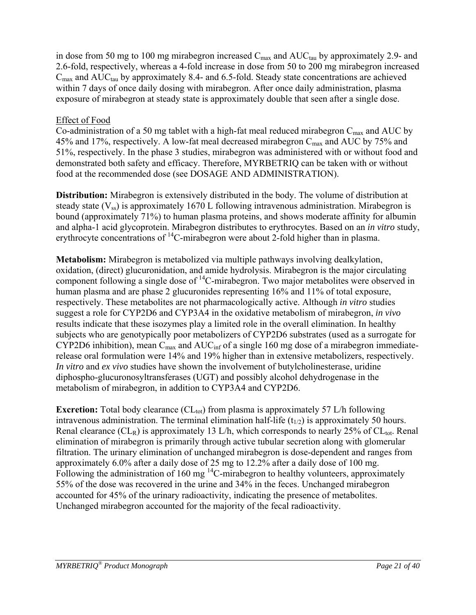in dose from 50 mg to 100 mg mirabegron increased  $C_{\text{max}}$  and  $AUC_{\text{tau}}$  by approximately 2.9- and 2.6-fold, respectively, whereas a 4-fold increase in dose from 50 to 200 mg mirabegron increased  $C_{\text{max}}$  and  $AUC_{\text{tan}}$  by approximately 8.4- and 6.5-fold. Steady state concentrations are achieved within 7 days of once daily dosing with mirabegron. After once daily administration, plasma exposure of mirabegron at steady state is approximately double that seen after a single dose.

## Effect of Food

Co-administration of a 50 mg tablet with a high-fat meal reduced mirabegron  $C_{\text{max}}$  and AUC by 45% and 17%, respectively. A low-fat meal decreased mirabegron  $C_{\text{max}}$  and AUC by 75% and 51%, respectively. In the phase 3 studies, mirabegron was administered with or without food and demonstrated both safety and efficacy. Therefore, MYRBETRIQ can be taken with or without food at the recommended dose (see DOSAGE AND ADMINISTRATION).

**Distribution:** Mirabegron is extensively distributed in the body. The volume of distribution at steady state  $(V_{ss})$  is approximately 1670 L following intravenous administration. Mirabegron is bound (approximately 71%) to human plasma proteins, and shows moderate affinity for albumin and alpha-1 acid glycoprotein. Mirabegron distributes to erythrocytes. Based on an *in vitro* study, erythrocyte concentrations of <sup>14</sup>C-mirabegron were about 2-fold higher than in plasma.

**Metabolism:** Mirabegron is metabolized via multiple pathways involving dealkylation, oxidation, (direct) glucuronidation, and amide hydrolysis. Mirabegron is the major circulating component following a single dose of 14C-mirabegron. Two major metabolites were observed in human plasma and are phase 2 glucuronides representing 16% and 11% of total exposure, respectively. These metabolites are not pharmacologically active. Although *in vitro* studies suggest a role for CYP2D6 and CYP3A4 in the oxidative metabolism of mirabegron, *in vivo*  results indicate that these isozymes play a limited role in the overall elimination. In healthy subjects who are genotypically poor metabolizers of CYP2D6 substrates (used as a surrogate for CYP2D6 inhibition), mean  $C_{\text{max}}$  and  $AUC_{\text{inf}}$  of a single 160 mg dose of a mirabegron immediaterelease oral formulation were 14% and 19% higher than in extensive metabolizers, respectively. *In vitro* and *ex vivo* studies have shown the involvement of butylcholinesterase, uridine diphospho-glucuronosyltransferases (UGT) and possibly alcohol dehydrogenase in the metabolism of mirabegron, in addition to CYP3A4 and CYP2D6.

**Excretion:** Total body clearance  $CL_{tot}$  from plasma is approximately 57 L/h following intravenous administration. The terminal elimination half-life  $(t_{1/2})$  is approximately 50 hours. Renal clearance ( $CL_R$ ) is approximately 13 L/h, which corresponds to nearly 25% of  $CL_{tot}$ . Renal elimination of mirabegron is primarily through active tubular secretion along with glomerular filtration. The urinary elimination of unchanged mirabegron is dose-dependent and ranges from approximately 6.0% after a daily dose of 25 mg to 12.2% after a daily dose of 100 mg. Following the administration of 160 mg  $^{14}$ C-mirabegron to healthy volunteers, approximately 55% of the dose was recovered in the urine and 34% in the feces. Unchanged mirabegron accounted for 45% of the urinary radioactivity, indicating the presence of metabolites. Unchanged mirabegron accounted for the majority of the fecal radioactivity.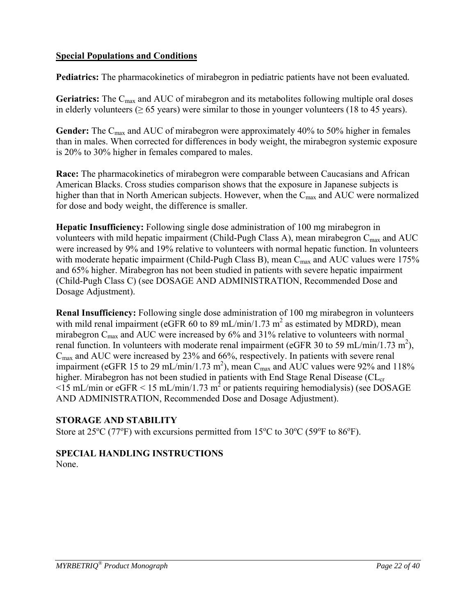## **Special Populations and Conditions**

**Pediatrics:** The pharmacokinetics of mirabegron in pediatric patients have not been evaluated*.*

Geriatrics: The C<sub>max</sub> and AUC of mirabegron and its metabolites following multiple oral doses in elderly volunteers ( $\geq 65$  years) were similar to those in younger volunteers (18 to 45 years).

Gender: The C<sub>max</sub> and AUC of mirabegron were approximately 40% to 50% higher in females than in males. When corrected for differences in body weight, the mirabegron systemic exposure is 20% to 30% higher in females compared to males.

**Race:** The pharmacokinetics of mirabegron were comparable between Caucasians and African American Blacks. Cross studies comparison shows that the exposure in Japanese subjects is higher than that in North American subjects. However, when the  $C_{\text{max}}$  and AUC were normalized for dose and body weight, the difference is smaller.

**Hepatic Insufficiency:** Following single dose administration of 100 mg mirabegron in volunteers with mild hepatic impairment (Child-Pugh Class A), mean mirabegron  $C_{\text{max}}$  and AUC were increased by 9% and 19% relative to volunteers with normal hepatic function. In volunteers with moderate hepatic impairment (Child-Pugh Class B), mean  $C_{\text{max}}$  and AUC values were 175% and 65% higher. Mirabegron has not been studied in patients with severe hepatic impairment (Child-Pugh Class C) (see DOSAGE AND ADMINISTRATION, Recommended Dose and Dosage Adjustment).

**Renal Insufficiency:** Following single dose administration of 100 mg mirabegron in volunteers with mild renal impairment (eGFR  $60$  to 89 mL/min/1.73 m<sup>2</sup> as estimated by MDRD), mean mirabegron  $C_{\text{max}}$  and AUC were increased by 6% and 31% relative to volunteers with normal renal function. In volunteers with moderate renal impairment (eGFR 30 to 59 mL/min/1.73 m<sup>2</sup>),  $C_{\text{max}}$  and AUC were increased by 23% and 66%, respectively. In patients with severe renal impairment (eGFR 15 to 29 mL/min/1.73 m<sup>2</sup>), mean C<sub>max</sub> and AUC values were 92% and 118% higher. Mirabegron has not been studied in patients with End Stage Renal Disease (CL<sub>cr</sub>  $\le$ 15 mL/min or eGFR  $\le$  15 mL/min/1.73 m<sup>2</sup> or patients requiring hemodialysis) (see DOSAGE AND ADMINISTRATION, Recommended Dose and Dosage Adjustment).

## **STORAGE AND STABILITY**

Store at  $25^{\circ}C$  (77<sup>o</sup>F) with excursions permitted from 15<sup>o</sup>C to 30<sup>o</sup>C (59<sup>o</sup>F to 86<sup>o</sup>F).

# **SPECIAL HANDLING INSTRUCTIONS**

None.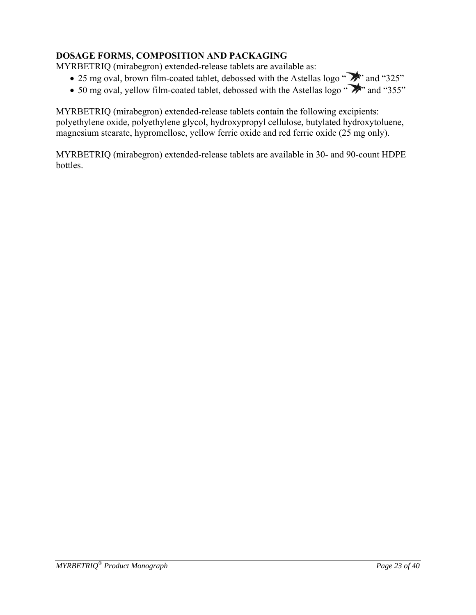## **DOSAGE FORMS, COMPOSITION AND PACKAGING**

MYRBETRIQ (mirabegron) extended-release tablets are available as:

- 25 mg oval, brown film-coated tablet, debossed with the Astellas logo " $\rightarrow$ " and "325"
- 50 mg oval, yellow film-coated tablet, debossed with the Astellas logo " $\rightarrow$ " and "355"

MYRBETRIQ (mirabegron) extended-release tablets contain the following excipients: polyethylene oxide, polyethylene glycol, hydroxypropyl cellulose, butylated hydroxytoluene, magnesium stearate, hypromellose, yellow ferric oxide and red ferric oxide (25 mg only).

MYRBETRIQ (mirabegron) extended-release tablets are available in 30- and 90-count HDPE bottles.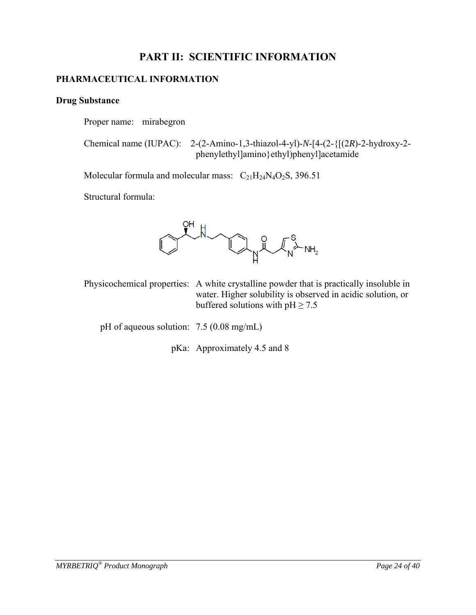## **PART II: SCIENTIFIC INFORMATION**

## **PHARMACEUTICAL INFORMATION**

## **Drug Substance**

Proper name: mirabegron

 Chemical name (IUPAC): 2-(2-Amino-1,3-thiazol-4-yl)-*N*-[4-(2-{[(2*R*)-2-hydroxy-2 phenylethyl]amino}ethyl)phenyl]acetamide

Molecular formula and molecular mass:  $C_{21}H_{24}N_4O_2S$ , 396.51

Structural formula:



Physicochemical properties: A white crystalline powder that is practically insoluble in water. Higher solubility is observed in acidic solution, or buffered solutions with  $pH \ge 7.5$ 

pH of aqueous solution: 7.5 (0.08 mg/mL)

pKa: Approximately 4.5 and 8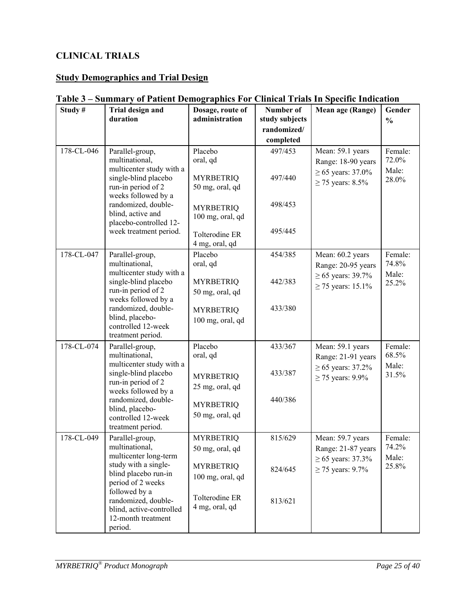## **CLINICAL TRIALS**

## **Study Demographics and Trial Design**

| Study#     | Trial design and<br>duration                                                              | Dosage, route of<br>administration   | Number of<br>study subjects | Mean age (Range)                                | Gender<br>$\frac{0}{0}$   |
|------------|-------------------------------------------------------------------------------------------|--------------------------------------|-----------------------------|-------------------------------------------------|---------------------------|
|            |                                                                                           |                                      | randomized/                 |                                                 |                           |
|            |                                                                                           |                                      | completed                   |                                                 |                           |
| 178-CL-046 | Parallel-group,<br>multinational,<br>multicenter study with a                             | Placebo<br>oral, qd                  | 497/453                     | Mean: 59.1 years<br>Range: 18-90 years          | Female:<br>72.0%          |
|            | single-blind placebo<br>run-in period of 2                                                | <b>MYRBETRIQ</b><br>50 mg, oral, qd  | 497/440                     | $\geq 65$ years: 37.0%<br>$\geq$ 75 years: 8.5% | Male:<br>28.0%            |
|            | weeks followed by a<br>randomized, double-<br>blind, active and<br>placebo-controlled 12- | <b>MYRBETRIQ</b><br>100 mg, oral, qd | 498/453                     |                                                 |                           |
|            | week treatment period.                                                                    | Tolterodine ER<br>4 mg, oral, qd     | 495/445                     |                                                 |                           |
| 178-CL-047 | Parallel-group,<br>multinational,<br>multicenter study with a                             | Placebo<br>oral, qd                  | 454/385                     | Mean: 60.2 years<br>Range: 20-95 years          | Female:<br>74.8%<br>Male: |
|            | single-blind placebo<br>run-in period of 2                                                | <b>MYRBETRIQ</b><br>50 mg, oral, qd  | 442/383                     | $\geq 65$ years: 39.7%<br>≥ 75 years: 15.1%     | 25.2%                     |
|            | weeks followed by a<br>randomized, double-<br>blind, placebo-                             | <b>MYRBETRIQ</b><br>100 mg, oral, qd | 433/380                     |                                                 |                           |
|            | controlled 12-week<br>treatment period.                                                   |                                      |                             |                                                 |                           |
| 178-CL-074 | Parallel-group,<br>multinational,<br>multicenter study with a                             | Placebo<br>oral, qd                  | 433/367                     | Mean: 59.1 years<br>Range: 21-91 years          | Female:<br>68.5%<br>Male: |
|            | single-blind placebo<br>run-in period of 2                                                | <b>MYRBETRIQ</b><br>25 mg, oral, qd  | 433/387                     | $\geq 65$ years: 37.2%<br>$\geq$ 75 years: 9.9% | 31.5%                     |
|            | weeks followed by a<br>randomized, double-<br>blind, placebo-                             | <b>MYRBETRIQ</b>                     | 440/386                     |                                                 |                           |
|            | controlled 12-week<br>treatment period.                                                   | 50 mg, oral, qd                      |                             |                                                 |                           |
| 178-CL-049 | Parallel-group,<br>multinational,<br>multicenter long-term                                | <b>MYRBETRIQ</b><br>50 mg, oral, qd  | 815/629                     | Mean: 59.7 years<br>Range: 21-87 years          | Female:<br>74.2%<br>Male: |
|            | study with a single-<br>blind placebo run-in<br>period of 2 weeks                         | <b>MYRBETRIQ</b><br>100 mg, oral, qd | 824/645                     | ≥ 65 years: 37.3%<br>$\geq$ 75 years: 9.7%      | 25.8%                     |
|            | followed by a<br>randomized, double-<br>blind, active-controlled<br>12-month treatment    | Tolterodine ER<br>4 mg, oral, qd     | 813/621                     |                                                 |                           |
|            | period.                                                                                   |                                      |                             |                                                 |                           |

## **Table 3 – Summary of Patient Demographics For Clinical Trials In Specific Indication**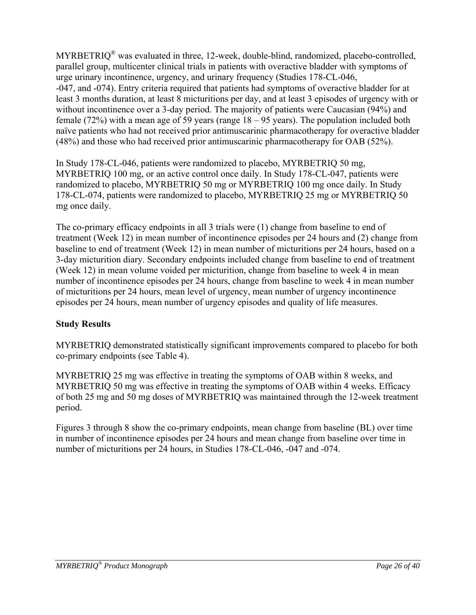MYRBETRIQ<sup>®</sup> was evaluated in three, 12-week, double-blind, randomized, placebo-controlled, parallel group, multicenter clinical trials in patients with overactive bladder with symptoms of urge urinary incontinence, urgency, and urinary frequency (Studies 178-CL-046, -047, and -074). Entry criteria required that patients had symptoms of overactive bladder for at least 3 months duration, at least 8 micturitions per day, and at least 3 episodes of urgency with or without incontinence over a 3-day period. The majority of patients were Caucasian (94%) and female (72%) with a mean age of 59 years (range 18 – 95 years). The population included both naïve patients who had not received prior antimuscarinic pharmacotherapy for overactive bladder (48%) and those who had received prior antimuscarinic pharmacotherapy for OAB (52%).

In Study 178-CL-046, patients were randomized to placebo, MYRBETRIQ 50 mg, MYRBETRIQ 100 mg, or an active control once daily. In Study 178-CL-047, patients were randomized to placebo, MYRBETRIQ 50 mg or MYRBETRIQ 100 mg once daily. In Study 178-CL-074, patients were randomized to placebo, MYRBETRIQ 25 mg or MYRBETRIQ 50 mg once daily.

The co-primary efficacy endpoints in all 3 trials were (1) change from baseline to end of treatment (Week 12) in mean number of incontinence episodes per 24 hours and (2) change from baseline to end of treatment (Week 12) in mean number of micturitions per 24 hours, based on a 3-day micturition diary. Secondary endpoints included change from baseline to end of treatment (Week 12) in mean volume voided per micturition, change from baseline to week 4 in mean number of incontinence episodes per 24 hours, change from baseline to week 4 in mean number of micturitions per 24 hours, mean level of urgency, mean number of urgency incontinence episodes per 24 hours, mean number of urgency episodes and quality of life measures.

## **Study Results**

MYRBETRIQ demonstrated statistically significant improvements compared to placebo for both co-primary endpoints (see Table 4).

MYRBETRIQ 25 mg was effective in treating the symptoms of OAB within 8 weeks, and MYRBETRIQ 50 mg was effective in treating the symptoms of OAB within 4 weeks. Efficacy of both 25 mg and 50 mg doses of MYRBETRIQ was maintained through the 12-week treatment period.

Figures 3 through 8 show the co-primary endpoints, mean change from baseline (BL) over time in number of incontinence episodes per 24 hours and mean change from baseline over time in number of micturitions per 24 hours, in Studies 178-CL-046, -047 and -074.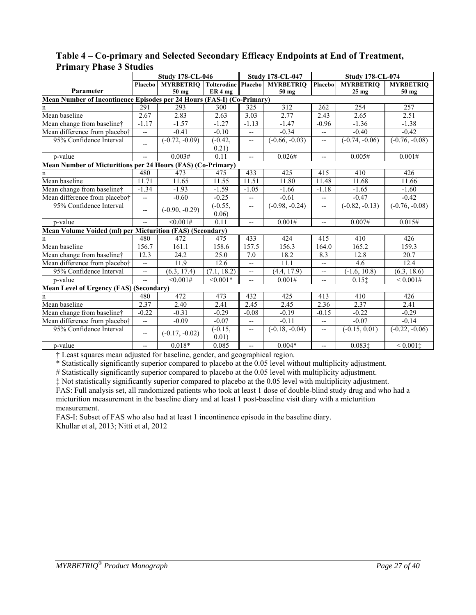|                                                                        | <b>Study 178-CL-046</b>  |                                      | <b>Study 178-CL-047</b> |                          | <b>Study 178-CL-074</b> |                          |                  |                          |
|------------------------------------------------------------------------|--------------------------|--------------------------------------|-------------------------|--------------------------|-------------------------|--------------------------|------------------|--------------------------|
|                                                                        | Placebo                  | <b>MYRBETRIQ Tolterodine Placebo</b> |                         |                          | <b>MYRBETRIO</b>        | Placebo                  | <b>MYRBETRIQ</b> | <b>MYRBETRIQ</b>         |
| Parameter                                                              |                          | 50 mg                                | ER <sub>4</sub> mg      |                          | 50 mg                   |                          | 25 <sub>mg</sub> | 50 mg                    |
| Mean Number of Incontinence Episodes per 24 Hours (FAS-I) (Co-Primary) |                          |                                      |                         |                          |                         |                          |                  |                          |
| n                                                                      | 291                      | 293                                  | 300                     | 325                      | 312                     | 262                      | 254              | 257                      |
| Mean baseline                                                          | 2.67                     | 2.83                                 | 2.63                    | 3.03                     | 2.77                    | 2.43                     | 2.65             | 2.51                     |
| Mean change from baseline†                                             | $-1.17$                  | $-1.57$                              | $-1.27$                 | $-1.13$                  | $-1.47$                 | $-0.96$                  | $-1.36$          | $-1.38$                  |
| Mean difference from placebo†                                          | $\overline{\phantom{a}}$ | $-0.41$                              | $-0.10$                 | $\overline{\phantom{a}}$ | $-0.34$                 | $\overline{\phantom{a}}$ | $-0.40$          | $-0.42$                  |
| 95% Confidence Interval                                                | $-$                      | $(-0.72, -0.09)$                     | $(-0.42,$<br>0.21)      | --                       | $(-0.66, -0.03)$        | --                       | $(-0.74, -0.06)$ | $(-0.76, -0.08)$         |
| p-value                                                                | $- -$                    | 0.003#                               | 0.11                    | $\overline{\phantom{a}}$ | 0.026#                  | $- -$                    | 0.005#           | 0.001#                   |
| Mean Number of Micturitions per 24 Hours (FAS) (Co-Primary)            |                          |                                      |                         |                          |                         |                          |                  |                          |
|                                                                        | 480                      | 473                                  | 475                     | 433                      | 425                     | 415                      | 410              | 426                      |
| Mean baseline                                                          | 11.71                    | 11.65                                | 11.55                   | 11.51                    | 11.80                   | 11.48                    | 11.68            | 11.66                    |
| Mean change from baseline†                                             | $-1.34$                  | $-1.93$                              | $-1.59$                 | $-1.05$                  | $-1.66$                 | $-1.18$                  | $-1.65$          | $-1.60$                  |
| Mean difference from placebo†                                          | $\overline{\phantom{a}}$ | $-0.60$                              | $-0.25$                 | --                       | $-0.61$                 | --                       | $-0.47$          | $-0.42$                  |
| 95% Confidence Interval                                                | $\overline{\phantom{a}}$ | $(-0.90, -0.29)$                     | $(-0.55,$<br>0.06)      | $\overline{\phantom{a}}$ | $(-0.98, -0.24)$        | --                       | $(-0.82, -0.13)$ | $(-0.76, -0.08)$         |
| p-value                                                                |                          | < 0.001#                             | 0.11                    | $-$                      | 0.001#                  | $\overline{\phantom{a}}$ | 0.007#           | 0.015#                   |
| Mean Volume Voided (ml) per Micturition (FAS) (Secondary)              |                          |                                      |                         |                          |                         |                          |                  |                          |
| n                                                                      | 480                      | 472                                  | 475                     | 433                      | 424                     | 415                      | 410              | 426                      |
| Mean baseline                                                          | 156.7                    | 161.1                                | 158.6                   | 157.5                    | 156.3                   | 164.0                    | 165.2            | 159.3                    |
| Mean change from baseline†                                             | 12.3                     | 24.2                                 | 25.0                    | 7.0                      | 18.2                    | 8.3                      | 12.8             | 20.7                     |
| Mean difference from placebo†                                          | $\overline{\phantom{a}}$ | 11.9                                 | 12.6                    | $\overline{a}$           | 11.1                    | $-$                      | 4.6              | 12.4                     |
| 95% Confidence Interval                                                | $\overline{\phantom{a}}$ | (6.3, 17.4)                          | (7.1, 18.2)             | $\overline{\phantom{a}}$ | (4.4, 17.9)             | $- -$                    | $(-1.6, 10.8)$   | $\overline{(6.3, 18.6)}$ |
| p-value                                                                | $\overline{\phantom{a}}$ | < 0.001#                             | $< 0.001*$              | $\overline{\phantom{a}}$ | 0.001#                  | $\overline{\phantom{a}}$ | 0.151            | ${}< 0.001#$             |
| <b>Mean Level of Urgency (FAS) (Secondary)</b>                         |                          |                                      |                         |                          |                         |                          |                  |                          |
| n                                                                      | 480                      | 472                                  | 473                     | 432                      | 425                     | 413                      | 410              | 426                      |
| Mean baseline                                                          | 2.37                     | 2.40                                 | 2.41                    | 2.45                     | 2.45                    | 2.36                     | 2.37             | 2.41                     |
| Mean change from baseline†                                             | $-0.22$                  | $-0.31$                              | $-0.29$                 | $-0.08$                  | $-0.19$                 | $-0.15$                  | $-0.22$          | $-0.29$                  |
| Mean difference from placebo†                                          | $\overline{\phantom{a}}$ | $-0.09$                              | $-0.07$                 | $\overline{\phantom{a}}$ | $-0.11$                 | $-$                      | $-0.07$          | $-0.14$                  |
| 95% Confidence Interval                                                | $\overline{\phantom{a}}$ | $(-0.17, -0.02)$                     | $(-0.15,$<br>0.01)      | $\overline{\phantom{a}}$ | $(-0.18, -0.04)$        | $\overline{\phantom{a}}$ | $(-0.15, 0.01)$  | $(-0.22, -0.06)$         |
| p-value                                                                | $\overline{\phantom{a}}$ | $0.018*$                             | 0.085                   | $\overline{\phantom{a}}$ | $0.004*$                | $\overline{\phantom{a}}$ | 0.0831           | ${}< 0.001$              |

## **Table 4 – Co-primary and Selected Secondary Efficacy Endpoints at End of Treatment, Primary Phase 3 Studies**

† Least squares mean adjusted for baseline, gender, and geographical region.

\* Statistically significantly superior compared to placebo at the 0.05 level without multiplicity adjustment.

# Statistically significantly superior compared to placebo at the 0.05 level with multiplicity adjustment.

‡ Not statistically significantly superior compared to placebo at the 0.05 level with multiplicity adjustment.

FAS: Full analysis set, all randomized patients who took at least 1 dose of double-blind study drug and who had a micturition measurement in the baseline diary and at least 1 post-baseline visit diary with a micturition measurement.

FAS-I: Subset of FAS who also had at least 1 incontinence episode in the baseline diary. Khullar et al, 2013; Nitti et al, 2012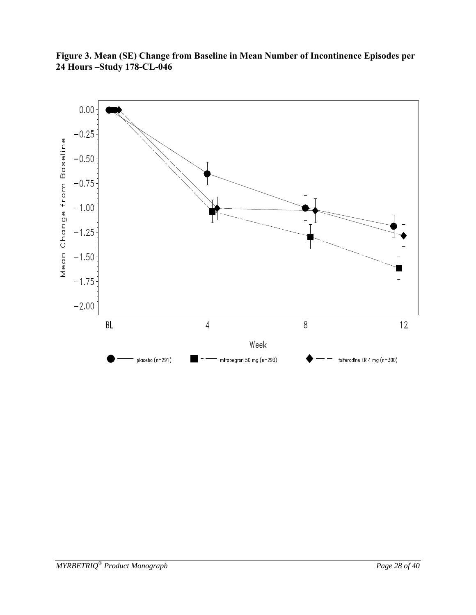

**Figure 3. Mean (SE) Change from Baseline in Mean Number of Incontinence Episodes per 24 Hours –Study 178-CL-046**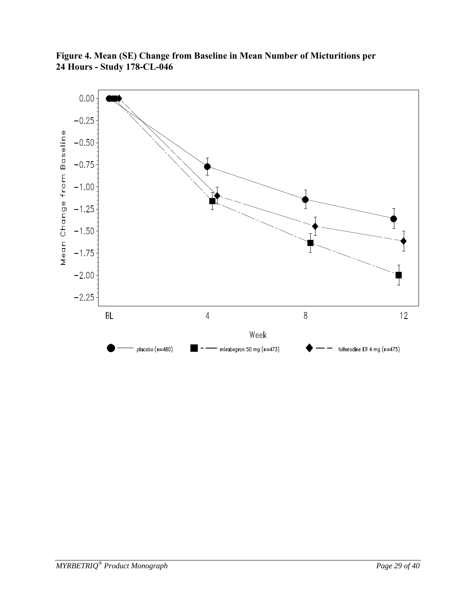

**Figure 4. Mean (SE) Change from Baseline in Mean Number of Micturitions per 24 Hours - Study 178-CL-046**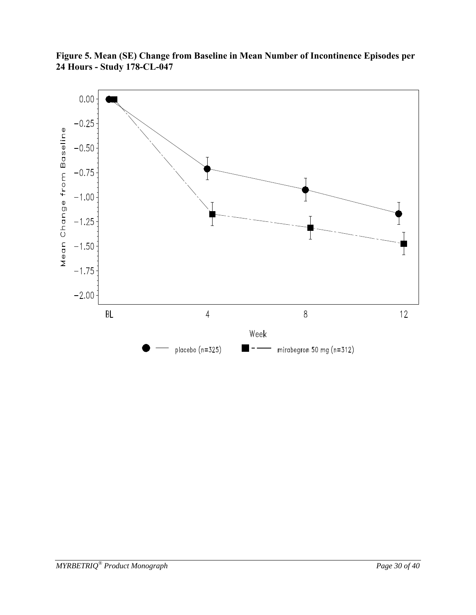

**Figure 5. Mean (SE) Change from Baseline in Mean Number of Incontinence Episodes per 24 Hours - Study 178-CL-047**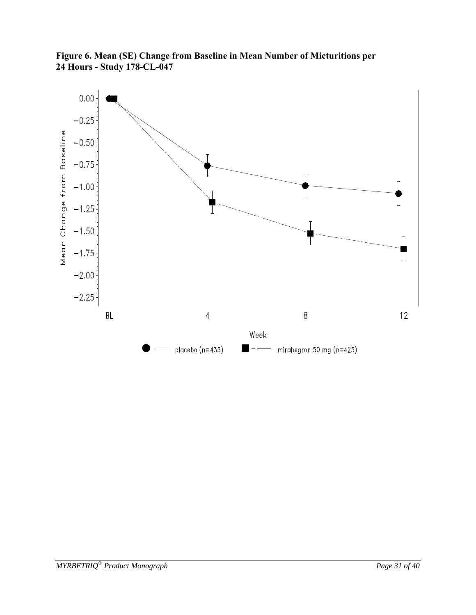

**Figure 6. Mean (SE) Change from Baseline in Mean Number of Micturitions per 24 Hours - Study 178-CL-047**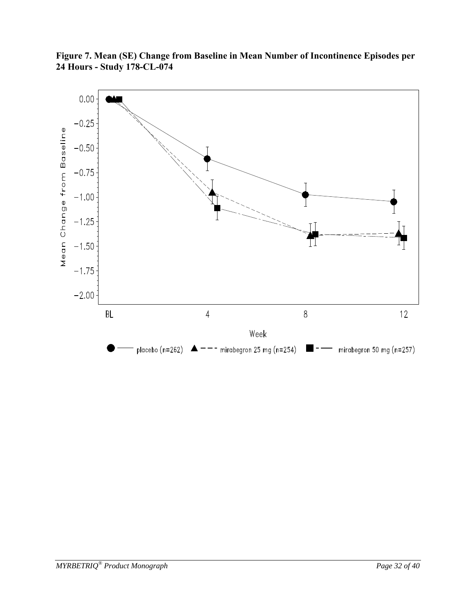

**Figure 7. Mean (SE) Change from Baseline in Mean Number of Incontinence Episodes per 24 Hours - Study 178-CL-074**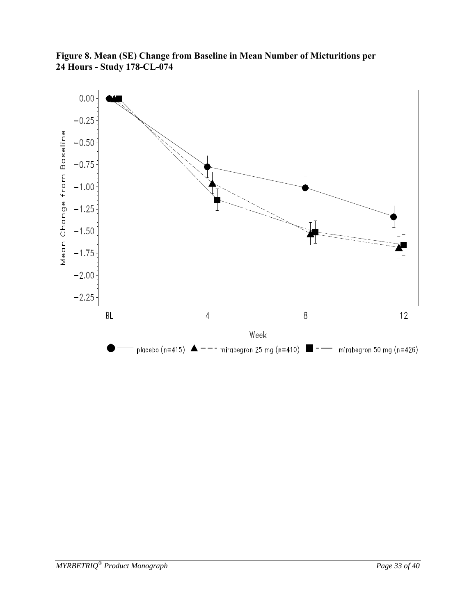

**Figure 8. Mean (SE) Change from Baseline in Mean Number of Micturitions per 24 Hours - Study 178-CL-074**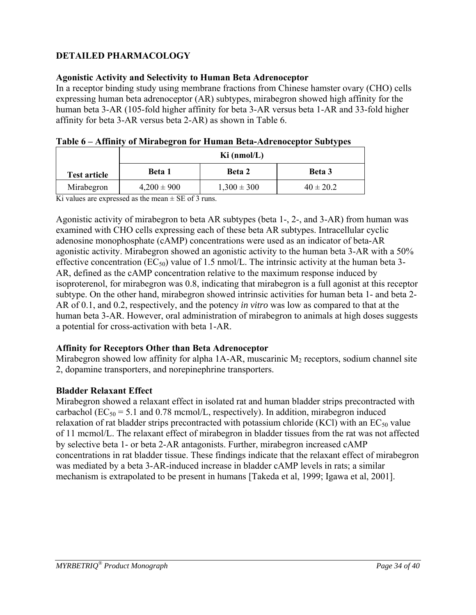## **DETAILED PHARMACOLOGY**

## **Agonistic Activity and Selectivity to Human Beta Adrenoceptor**

In a receptor binding study using membrane fractions from Chinese hamster ovary (CHO) cells expressing human beta adrenoceptor (AR) subtypes, mirabegron showed high affinity for the human beta 3-AR (105-fold higher affinity for beta 3-AR versus beta 1-AR and 33-fold higher affinity for beta 3-AR versus beta 2-AR) as shown in Table 6.

|                     | -<br>Ki (nmol/L) |                 |               |  |  |  |
|---------------------|------------------|-----------------|---------------|--|--|--|
| <b>Test article</b> | <b>Beta</b> 1    | <b>Beta 2</b>   | Beta 3        |  |  |  |
| Mirabegron          | $4,200 \pm 900$  | $1,300 \pm 300$ | $40 \pm 20.2$ |  |  |  |

|  |  | Table 6 - Affinity of Mirabegron for Human Beta-Adrenoceptor Subtypes |  |
|--|--|-----------------------------------------------------------------------|--|
|  |  |                                                                       |  |

Ki values are expressed as the mean  $\pm$  SE of 3 runs.

Agonistic activity of mirabegron to beta AR subtypes (beta 1-, 2-, and 3-AR) from human was examined with CHO cells expressing each of these beta AR subtypes. Intracellular cyclic adenosine monophosphate (cAMP) concentrations were used as an indicator of beta-AR agonistic activity. Mirabegron showed an agonistic activity to the human beta 3-AR with a 50% effective concentration ( $EC_{50}$ ) value of 1.5 nmol/L. The intrinsic activity at the human beta 3-AR, defined as the cAMP concentration relative to the maximum response induced by isoproterenol, for mirabegron was 0.8, indicating that mirabegron is a full agonist at this receptor subtype. On the other hand, mirabegron showed intrinsic activities for human beta 1- and beta 2- AR of 0.1, and 0.2, respectively, and the potency *in vitro* was low as compared to that at the human beta 3-AR. However, oral administration of mirabegron to animals at high doses suggests a potential for cross-activation with beta 1-AR.

## **Affinity for Receptors Other than Beta Adrenoceptor**

Mirabegron showed low affinity for alpha  $1A-AR$ , muscarinic  $M<sub>2</sub>$  receptors, sodium channel site 2, dopamine transporters, and norepinephrine transporters.

## **Bladder Relaxant Effect**

Mirabegron showed a relaxant effect in isolated rat and human bladder strips precontracted with carbachol ( $EC_{50} = 5.1$  and 0.78 mcmol/L, respectively). In addition, mirabegron induced relaxation of rat bladder strips precontracted with potassium chloride (KCl) with an  $EC_{50}$  value of 11 mcmol/L. The relaxant effect of mirabegron in bladder tissues from the rat was not affected by selective beta 1- or beta 2-AR antagonists. Further, mirabegron increased cAMP concentrations in rat bladder tissue. These findings indicate that the relaxant effect of mirabegron was mediated by a beta 3-AR-induced increase in bladder cAMP levels in rats; a similar mechanism is extrapolated to be present in humans [Takeda et al, 1999; Igawa et al, 2001].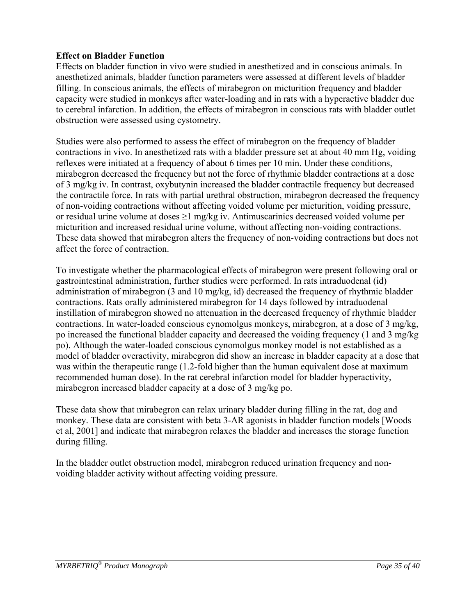## **Effect on Bladder Function**

Effects on bladder function in vivo were studied in anesthetized and in conscious animals. In anesthetized animals, bladder function parameters were assessed at different levels of bladder filling. In conscious animals, the effects of mirabegron on micturition frequency and bladder capacity were studied in monkeys after water-loading and in rats with a hyperactive bladder due to cerebral infarction. In addition, the effects of mirabegron in conscious rats with bladder outlet obstruction were assessed using cystometry.

Studies were also performed to assess the effect of mirabegron on the frequency of bladder contractions in vivo. In anesthetized rats with a bladder pressure set at about 40 mm Hg, voiding reflexes were initiated at a frequency of about 6 times per 10 min. Under these conditions, mirabegron decreased the frequency but not the force of rhythmic bladder contractions at a dose of 3 mg/kg iv. In contrast, oxybutynin increased the bladder contractile frequency but decreased the contractile force. In rats with partial urethral obstruction, mirabegron decreased the frequency of non-voiding contractions without affecting voided volume per micturition, voiding pressure, or residual urine volume at doses ≥1 mg/kg iv. Antimuscarinics decreased voided volume per micturition and increased residual urine volume, without affecting non-voiding contractions. These data showed that mirabegron alters the frequency of non-voiding contractions but does not affect the force of contraction.

To investigate whether the pharmacological effects of mirabegron were present following oral or gastrointestinal administration, further studies were performed. In rats intraduodenal (id) administration of mirabegron (3 and 10 mg/kg, id) decreased the frequency of rhythmic bladder contractions. Rats orally administered mirabegron for 14 days followed by intraduodenal instillation of mirabegron showed no attenuation in the decreased frequency of rhythmic bladder contractions. In water-loaded conscious cynomolgus monkeys, mirabegron, at a dose of 3 mg/kg, po increased the functional bladder capacity and decreased the voiding frequency (1 and 3 mg/kg po). Although the water-loaded conscious cynomolgus monkey model is not established as a model of bladder overactivity, mirabegron did show an increase in bladder capacity at a dose that was within the therapeutic range (1.2-fold higher than the human equivalent dose at maximum recommended human dose). In the rat cerebral infarction model for bladder hyperactivity, mirabegron increased bladder capacity at a dose of 3 mg/kg po.

These data show that mirabegron can relax urinary bladder during filling in the rat, dog and monkey. These data are consistent with beta 3-AR agonists in bladder function models [Woods et al, 2001] and indicate that mirabegron relaxes the bladder and increases the storage function during filling.

In the bladder outlet obstruction model, mirabegron reduced urination frequency and nonvoiding bladder activity without affecting voiding pressure.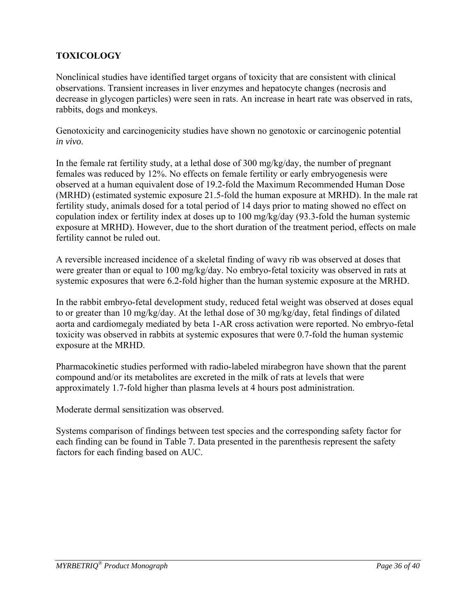## **TOXICOLOGY**

Nonclinical studies have identified target organs of toxicity that are consistent with clinical observations. Transient increases in liver enzymes and hepatocyte changes (necrosis and decrease in glycogen particles) were seen in rats. An increase in heart rate was observed in rats, rabbits, dogs and monkeys.

Genotoxicity and carcinogenicity studies have shown no genotoxic or carcinogenic potential *in vivo*.

In the female rat fertility study, at a lethal dose of 300 mg/kg/day, the number of pregnant females was reduced by 12%. No effects on female fertility or early embryogenesis were observed at a human equivalent dose of 19.2-fold the Maximum Recommended Human Dose (MRHD) (estimated systemic exposure 21.5-fold the human exposure at MRHD). In the male rat fertility study, animals dosed for a total period of 14 days prior to mating showed no effect on copulation index or fertility index at doses up to 100 mg/kg/day (93.3-fold the human systemic exposure at MRHD). However, due to the short duration of the treatment period, effects on male fertility cannot be ruled out.

A reversible increased incidence of a skeletal finding of wavy rib was observed at doses that were greater than or equal to 100 mg/kg/day. No embryo-fetal toxicity was observed in rats at systemic exposures that were 6.2-fold higher than the human systemic exposure at the MRHD.

In the rabbit embryo-fetal development study, reduced fetal weight was observed at doses equal to or greater than 10 mg/kg/day. At the lethal dose of 30 mg/kg/day, fetal findings of dilated aorta and cardiomegaly mediated by beta 1-AR cross activation were reported. No embryo-fetal toxicity was observed in rabbits at systemic exposures that were 0.7-fold the human systemic exposure at the MRHD.

Pharmacokinetic studies performed with radio-labeled mirabegron have shown that the parent compound and/or its metabolites are excreted in the milk of rats at levels that were approximately 1.7-fold higher than plasma levels at 4 hours post administration.

Moderate dermal sensitization was observed.

Systems comparison of findings between test species and the corresponding safety factor for each finding can be found in Table 7. Data presented in the parenthesis represent the safety factors for each finding based on AUC.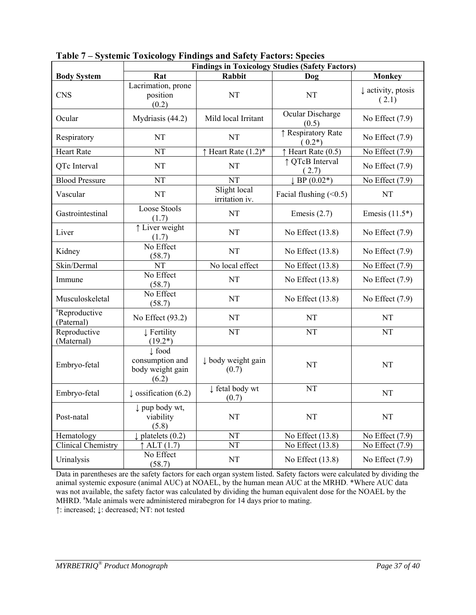|                                         | <b>Findings in Toxicology Studies (Safety Factors)</b>            |                                 |                                |                                        |  |  |
|-----------------------------------------|-------------------------------------------------------------------|---------------------------------|--------------------------------|----------------------------------------|--|--|
| <b>Body System</b>                      | Rat                                                               | <b>Rabbit</b>                   | Dog                            | <b>Monkey</b>                          |  |  |
| <b>CNS</b>                              | Lacrimation, prone<br>position<br>(0.2)                           | NT                              | NT                             | $\downarrow$ activity, ptosis<br>(2.1) |  |  |
| Ocular                                  | Mydriasis (44.2)                                                  | Mild local Irritant             | Ocular Discharge<br>(0.5)      | No Effect $(7.9)$                      |  |  |
| Respiratory                             | NT                                                                | NT                              | ↑ Respiratory Rate<br>$(0.2*)$ | No Effect $(7.9)$                      |  |  |
| <b>Heart Rate</b>                       | <b>NT</b>                                                         | $\uparrow$ Heart Rate $(1.2)^*$ | $\uparrow$ Heart Rate (0.5)    | $\overline{No}$ Effect (7.9)           |  |  |
| QTc Interval                            | <b>NT</b>                                                         | <b>NT</b>                       | ↑ QTcB Interval<br>(2.7)       | No Effect $(7.9)$                      |  |  |
| <b>Blood Pressure</b>                   | <b>NT</b>                                                         | NT                              | $~\downarrow$ BP (0.02*)       | No Effect $(7.9)$                      |  |  |
| Vascular                                | NT                                                                | Slight local<br>irritation iv.  | Facial flushing $(0.5)$        | NT                                     |  |  |
| Gastrointestinal                        | Loose Stools<br>(1.7)                                             | NT                              | Emesis $(2.7)$                 | Emesis $(11.5^*)$                      |  |  |
| Liver                                   | ↑ Liver weight<br>(1.7)                                           | NT                              | No Effect $(13.8)$             | No Effect $(7.9)$                      |  |  |
| Kidney                                  | No Effect<br>(58.7)                                               | NT                              | No Effect $(13.8)$             | No Effect $(7.9)$                      |  |  |
| Skin/Dermal                             | NT                                                                | No local effect                 | No Effect (13.8)               | No Effect $(7.9)$                      |  |  |
| Immune                                  | No Effect<br>(58.7)                                               | NT                              | No Effect $(13.8)$             | No Effect $(7.9)$                      |  |  |
| Musculoskeletal                         | No Effect<br>(58.7)                                               | NT                              | No Effect (13.8)               | No Effect $(7.9)$                      |  |  |
| <sup>a</sup> Reproductive<br>(Paternal) | No Effect $(93.2)$                                                | NT                              | NT                             | NT                                     |  |  |
| Reproductive<br>(Maternal)              | ↓ Fertility<br>$(19.2*)$                                          | NT                              | NT                             | NT                                     |  |  |
| Embryo-fetal                            | $\downarrow$ food<br>consumption and<br>body weight gain<br>(6.2) | ↓ body weight gain<br>(0.7)     | NT                             | NT                                     |  |  |
| Embryo-fetal                            | $\downarrow$ ossification (6.2)                                   | ↓ fetal body wt<br>(0.7)        | NT                             | <b>NT</b>                              |  |  |
| Post-natal                              | $\downarrow$ pup body wt,<br>viability<br>(5.8)                   | NT                              | NT                             | NT                                     |  |  |
| Hematology                              | $\downarrow$ platelets (0.2)                                      | NT                              | No Effect (13.8)               | No Effect $(7.9)$                      |  |  |
| Clinical Chemistry                      | $\uparrow$ ALT (1.7)                                              | NT                              | No Effect (13.8)               | No Effect $(7.9)$                      |  |  |
| Urinalysis                              | No Effect<br>(58.7)                                               | NT                              | No Effect $(13.8)$             | No Effect $(7.9)$                      |  |  |

**Table 7 – Systemic Toxicology Findings and Safety Factors: Species** 

Data in parentheses are the safety factors for each organ system listed. Safety factors were calculated by dividing the animal systemic exposure (animal AUC) at NOAEL, by the human mean AUC at the MRHD. \*Where AUC data was not available, the safety factor was calculated by dividing the human equivalent dose for the NOAEL by the MHRD. <sup>a</sup>Male animals were administered mirabegron for 14 days prior to mating.

↑: increased; ↓: decreased; NT: not tested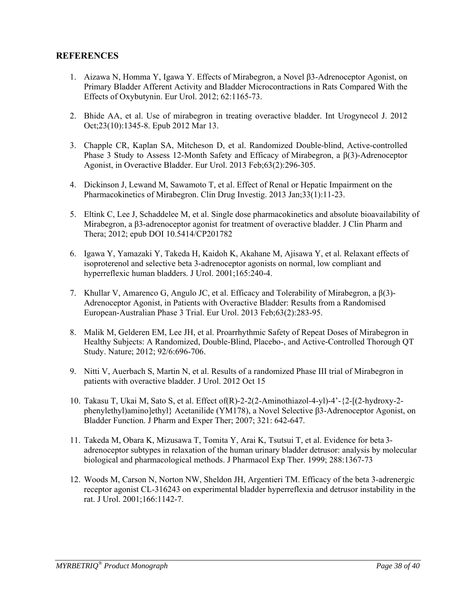### **REFERENCES**

- 1. Aizawa N, Homma Y, Igawa Y. Effects of Mirabegron, a Novel β3-Adrenoceptor Agonist, on Primary Bladder Afferent Activity and Bladder Microcontractions in Rats Compared With the Effects of Oxybutynin. Eur Urol. 2012; 62:1165-73.
- 2. Bhide AA, et al. Use of mirabegron in treating overactive bladder. Int Urogynecol J. 2012 Oct;23(10):1345-8. Epub 2012 Mar 13.
- 3. Chapple CR, Kaplan SA, Mitcheson D, et al. Randomized Double-blind, Active-controlled Phase 3 Study to Assess 12-Month Safety and Efficacy of Mirabegron, a β(3)-Adrenoceptor Agonist, in Overactive Bladder. Eur Urol. 2013 Feb;63(2):296-305.
- 4. Dickinson J, Lewand M, Sawamoto T, et al. Effect of Renal or Hepatic Impairment on the Pharmacokinetics of Mirabegron. Clin Drug Investig. 2013 Jan;33(1):11-23.
- 5. Eltink C, Lee J, Schaddelee M, et al. Single dose pharmacokinetics and absolute bioavailability of Mirabegron, a β3-adrenoceptor agonist for treatment of overactive bladder. J Clin Pharm and Thera; 2012; epub DOI 10.5414/CP201782
- 6. Igawa Y, Yamazaki Y, Takeda H, Kaidoh K, Akahane M, Ajisawa Y, et al. Relaxant effects of isoproterenol and selective beta 3-adrenoceptor agonists on normal, low compliant and hyperreflexic human bladders. J Urol. 2001;165:240-4.
- 7. Khullar V, Amarenco G, Angulo JC, et al. Efficacy and Tolerability of Mirabegron, a β(3)- Adrenoceptor Agonist, in Patients with Overactive Bladder: Results from a Randomised European-Australian Phase 3 Trial. Eur Urol. 2013 Feb;63(2):283-95.
- 8. Malik M, Gelderen EM, Lee JH, et al. Proarrhythmic Safety of Repeat Doses of Mirabegron in Healthy Subjects: A Randomized, Double-Blind, Placebo-, and Active-Controlled Thorough QT Study. Nature; 2012; 92/6:696-706.
- 9. Nitti V, Auerbach S, Martin N, et al. Results of a randomized Phase III trial of Mirabegron in patients with overactive bladder. J Urol. 2012 Oct 15
- 10. Takasu T, Ukai M, Sato S, et al. Effect of(R)-2-2(2-Aminothiazol-4-yl)-4'-{2-[(2-hydroxy-2 phenylethyl)amino]ethyl} Acetanilide (YM178), a Novel Selective β3-Adrenoceptor Agonist, on Bladder Function. J Pharm and Exper Ther; 2007; 321: 642-647.
- 11. Takeda M, Obara K, Mizusawa T, Tomita Y, Arai K, Tsutsui T, et al. Evidence for beta 3 adrenoceptor subtypes in relaxation of the human urinary bladder detrusor: analysis by molecular biological and pharmacological methods. J Pharmacol Exp Ther. 1999; 288:1367-73
- 12. Woods M, Carson N, Norton NW, Sheldon JH, Argentieri TM. Efficacy of the beta 3-adrenergic receptor agonist CL-316243 on experimental bladder hyperreflexia and detrusor instability in the rat. J Urol. 2001;166:1142-7.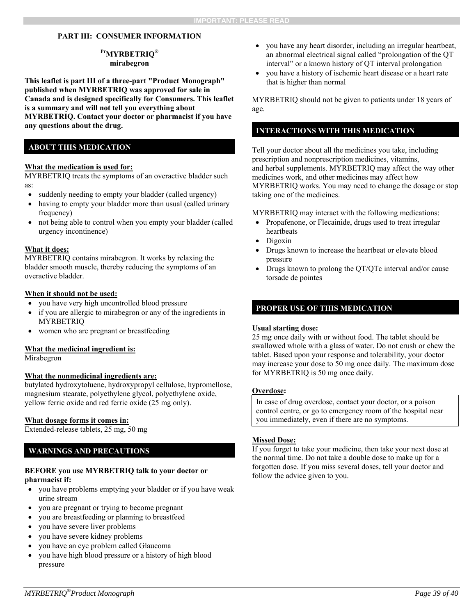### **PART III: CONSUMER INFORMATION**

#### **PrMYRBETRIQ® mirabegron**

**This leaflet is part III of a three-part "Product Monograph" published when MYRBETRIQ was approved for sale in Canada and is designed specifically for Consumers. This leaflet is a summary and will not tell you everything about MYRBETRIQ. Contact your doctor or pharmacist if you have any questions about the drug.** 

### **ABOUT THIS MEDICATION**

#### **What the medication is used for:**

MYRBETRIQ treats the symptoms of an overactive bladder such as:

- suddenly needing to empty your bladder (called urgency)
- having to empty your bladder more than usual (called urinary frequency)
- not being able to control when you empty your bladder (called urgency incontinence)

#### **What it does:**

MYRBETRIQ contains mirabegron. It works by relaxing the bladder smooth muscle, thereby reducing the symptoms of an overactive bladder.

#### **When it should not be used:**

- you have very high uncontrolled blood pressure
- if you are allergic to mirabegron or any of the ingredients in MYRBETRIQ
- women who are pregnant or breastfeeding

#### **What the medicinal ingredient is:**

Mirabegron

#### **What the nonmedicinal ingredients are:**

butylated hydroxytoluene, hydroxypropyl cellulose, hypromellose, magnesium stearate, polyethylene glycol, polyethylene oxide, yellow ferric oxide and red ferric oxide (25 mg only).

#### **What dosage forms it comes in:**

Extended-release tablets, 25 mg, 50 mg

### **WARNINGS AND PRECAUTIONS**

#### **BEFORE you use MYRBETRIQ talk to your doctor or pharmacist if:**

- you have problems emptying your bladder or if you have weak urine stream
- you are pregnant or trying to become pregnant
- you are breastfeeding or planning to breastfeed
- you have severe liver problems
- you have severe kidney problems
- you have an eye problem called Glaucoma
- you have high blood pressure or a history of high blood pressure
- you have any heart disorder, including an irregular heartbeat, an abnormal electrical signal called "prolongation of the QT interval" or a known history of QT interval prolongation
- you have a history of ischemic heart disease or a heart rate that is higher than normal

MYRBETRIQ should not be given to patients under 18 years of age.

### **INTERACTIONS WITH THIS MEDICATION**

Tell your doctor about all the medicines you take, including prescription and nonprescription medicines, vitamins, and herbal supplements. MYRBETRIQ may affect the way other medicines work, and other medicines may affect how MYRBETRIQ works. You may need to change the dosage or stop taking one of the medicines.

MYRBETRIQ may interact with the following medications:

- Propafenone, or Flecainide, drugs used to treat irregular heartbeats
- Digoxin
- Drugs known to increase the heartbeat or elevate blood pressure
- Drugs known to prolong the QT/QTc interval and/or cause torsade de pointes

### **PROPER USE OF THIS MEDICATION**

#### **Usual starting dose:**

25 mg once daily with or without food. The tablet should be swallowed whole with a glass of water. Do not crush or chew the tablet. Based upon your response and tolerability, your doctor may increase your dose to 50 mg once daily. The maximum dose for MYRBETRIQ is 50 mg once daily.

#### **Overdose:**

In case of drug overdose, contact your doctor, or a poison control centre, or go to emergency room of the hospital near you immediately, even if there are no symptoms.

#### **Missed Dose:**

If you forget to take your medicine, then take your next dose at the normal time. Do not take a double dose to make up for a forgotten dose. If you miss several doses, tell your doctor and follow the advice given to you.